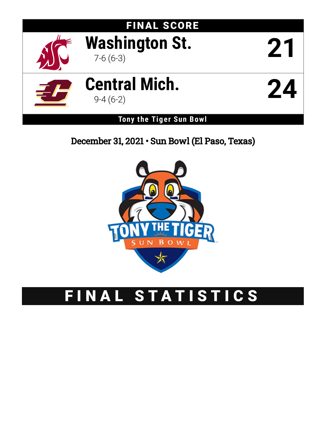

# December 31, 2021 • Sun Bowl (El Paso, Texas)



# FINAL STATISTICS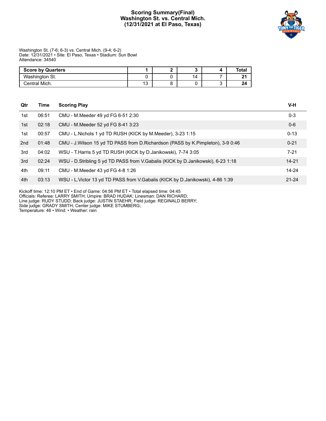# **Scoring Summary(Final) Washington St. vs. Central Mich. (12/31/2021 at El Paso, Texas)**



Washington St. (7-6; 6-3) vs. Central Mich. (9-4; 6-2) Date: 12/31/2021 • Site: El Paso, Texas • Stadium: Sun Bowl Attendance: 34540

| <b>Score by Quarters</b> |              |    | Tota <sub>l</sub> |
|--------------------------|--------------|----|-------------------|
| Washington St.           |              | 14 |                   |
| Central Mich.            | $\sim$<br>∪ו |    |                   |

| Qtr | Time  | <b>Scoring Play</b>                                                               | V-H       |
|-----|-------|-----------------------------------------------------------------------------------|-----------|
| 1st | 06:51 | CMU - M.Meeder 49 yd FG 6-51 2:30                                                 | $0 - 3$   |
| 1st | 02:18 | CMU - M.Meeder 52 yd FG 8-41 3:23                                                 | $0 - 6$   |
| 1st | 00:57 | CMU - L. Nichols 1 yd TD RUSH (KICK by M. Meeder), 3-23 1:15                      | $0 - 13$  |
| 2nd | 01:48 | CMU - J. Wilson 15 yd TD PASS from D. Richardson (PASS by K. Pimpleton), 3-9 0:46 | $0 - 21$  |
| 3rd | 04:02 | WSU - T. Harris 5 yd TD RUSH (KICK by D. Janikowski), 7-74 3:05                   | $7 - 21$  |
| 3rd | 02:24 | WSU - D.Stribling 5 yd TD PASS from V.Gabalis (KICK by D.Janikowski), 6-23 1:18   | $14 - 21$ |
| 4th | 09:11 | CMU - M.Meeder 43 yd FG 4-8 1:26                                                  | 14-24     |
| 4th | 03:13 | WSU - L. Victor 13 yd TD PASS from V. Gabalis (KICK by D. Janikowski), 4-86 1:39  | $21 - 24$ |

Kickoff time: 12:10 PM ET • End of Game: 04:56 PM ET • Total elapsed time: 04:45

Officials: Referee: LARRY SMITH; Umpire: BRAD HUDAK; Linesman: DAN RICHARD;

Line judge: RUDY STUDD; Back judge: JUSTIN STAEHR; Field judge: REGINALD BERRY;

Side judge: GRADY SMITH; Center judge: MIKE STUMBERG;

Temperature: 46 • Wind: • Weather: rain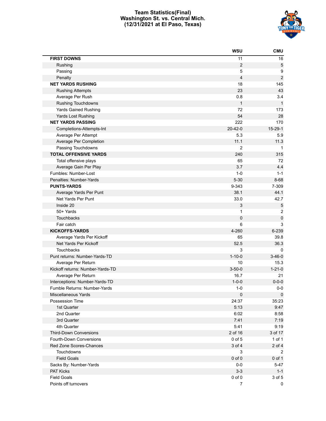# **Team Statistics(Final) Washington St. vs. Central Mich. (12/31/2021 at El Paso, Texas)**



|                                  | <b>WSU</b>     | <b>CMU</b>       |
|----------------------------------|----------------|------------------|
| <b>FIRST DOWNS</b>               | 11             | 16               |
| Rushing                          | $\overline{2}$ | 5                |
| Passing                          | 5              | 9                |
| Penalty                          | 4              | $\boldsymbol{2}$ |
| <b>NET YARDS RUSHING</b>         | 18             | 145              |
| <b>Rushing Attempts</b>          | 23             | 43               |
| Average Per Rush                 | 0.8            | 3.4              |
| <b>Rushing Touchdowns</b>        | $\mathbf{1}$   | $\mathbf{1}$     |
| <b>Yards Gained Rushing</b>      | 72             | 173              |
| Yards Lost Rushing               | 54             | 28               |
| <b>NET YARDS PASSING</b>         | 222            | 170              |
| Completions-Attempts-Int         | $20 - 42 - 0$  | $15-29-1$        |
| Average Per Attempt              | 5.3            | 5.9              |
| Average Per Completion           | 11.1           | 11.3             |
| Passing Touchdowns               | $\overline{2}$ | $\mathbf{1}$     |
| <b>TOTAL OFFENSIVE YARDS</b>     | 240            | 315              |
| Total offensive plays            | 65             | 72               |
| Average Gain Per Play            | 3.7            | 4.4              |
| Fumbles: Number-Lost             | $1 - 0$        | $1 - 1$          |
| Penalties: Number-Yards          | $5 - 30$       | $8 - 68$         |
| <b>PUNTS-YARDS</b>               | 9-343          | 7-309            |
| Average Yards Per Punt           | 38.1           | 44.1             |
| Net Yards Per Punt               | 33.0           | 42.7             |
| Inside 20                        | 3              | 5                |
| 50+ Yards                        | 1              | $\overline{2}$   |
| Touchbacks                       | 0              | $\pmb{0}$        |
| Fair catch                       | 6              | 3                |
| <b>KICKOFFS-YARDS</b>            | 4-260          | 6-239            |
| Average Yards Per Kickoff        | 65             | 39.8             |
| Net Yards Per Kickoff            | 52.5           | 36.3             |
| Touchbacks                       | 3              | 0                |
| Punt returns: Number-Yards-TD    | $1 - 10 - 0$   | $3 - 46 - 0$     |
| Average Per Return               | 10             | 15.3             |
| Kickoff returns: Number-Yards-TD | $3 - 50 - 0$   | $1 - 21 - 0$     |
| Average Per Return               | 16.7           | 21               |
| Interceptions: Number-Yards-TD   | $1 - 0 - 0$    | $0 - 0 - 0$      |
| Fumble Returns: Number-Yards     | $1 - 0$        | $0-0$            |
| Miscellaneous Yards              | $\pmb{0}$      | $\mathbf 0$      |
| Possession Time                  | 24:37          | 35:23            |
| 1st Quarter                      | 5:13           | 9:47             |
| 2nd Quarter                      | 6:02           | 8:58             |
| 3rd Quarter                      | 7:41           | 7:19             |
| 4th Quarter                      | 5:41           | 9:19             |
| <b>Third-Down Conversions</b>    | 2 of 16        | 3 of 17          |
| Fourth-Down Conversions          | 0 of 5         | 1 of 1           |
| Red Zone Scores-Chances          | 3 of 4         | $2$ of $4$       |
| Touchdowns                       | 3              | $\overline{c}$   |
| <b>Field Goals</b>               | $0$ of $0$     | 0 of 1           |
| Sacks By: Number-Yards           | $0-0$          | $5 - 47$         |
| <b>PAT Kicks</b>                 | $3-3$          | $1 - 1$          |
| <b>Field Goals</b>               | $0$ of $0$     | 3 of 5           |
| Points off turnovers             | $\overline{7}$ | 0                |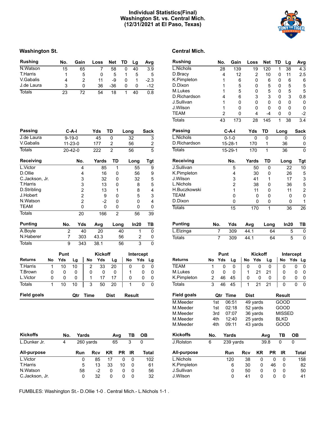# **Individual Statistics(Final) Washington St. vs. Central Mich. (12/31/2021 at El Paso, Texas)**



# **Washington St. Central Mich.**

| <b>Rushing</b> | No. | Gain | Loss | Net | TD | La | Ava    |
|----------------|-----|------|------|-----|----|----|--------|
| N.Watson       | 15  | 65   |      | 58  |    | 40 | 3.9    |
| T.Harris       |     | 5    |      | 5   |    | 5  | 5      |
| V.Gabalis      | 4   |      | 11   | -9  |    |    | $-2.3$ |
| J.de Laura     | 3   | O    | 36   | -36 | Ω  | 0  | -12    |
| Totals         | 23  | 72   | 54   | 18  |    | 40 | 0.8    |

| <b>Passing</b>     |              |             | $C-A-I$       |                | Yds            | <b>TD</b>      | Long          |           | <b>Sack</b>    | Passing            |        |                | $C-A-I$              |             | Yds            | <b>TD</b>   | Long                 |
|--------------------|--------------|-------------|---------------|----------------|----------------|----------------|---------------|-----------|----------------|--------------------|--------|----------------|----------------------|-------------|----------------|-------------|----------------------|
| J.de Laura         |              |             | $9 - 19 - 0$  |                | 45             | $\mathbf{0}$   | 32            |           | 3              | L.Nichols          |        |                | $0 - 1 - 0$          |             | 0              | $\mathbf 0$ | $\mathbf{0}$         |
| V.Gabalis          |              |             | $11 - 23 - 0$ |                | 177            | 2              | 56            |           | $\overline{2}$ | D.Richardson       |        |                | $15 - 28 - 1$        |             | 170            | 1           | 36                   |
| <b>Totals</b>      |              |             | $20 - 42 - 0$ |                | 222            | $\overline{2}$ | 56            |           | $\overline{5}$ | <b>Totals</b>      |        |                | $15-29-1$            |             | 170            | 1           | 36                   |
| <b>Receiving</b>   |              |             | No.           |                | Yards          | TD             | Long          |           | Tgt            | Receiving          |        |                | No.                  |             | Yards          | TD          | Long                 |
| L.Victor           |              |             |               | 4              | 85             | 1              |               | 55        | 9              | J.Sullivan         |        |                | 5                    |             | 50             | $\Omega$    | 2 <sup>′</sup>       |
| D.Ollie            |              |             |               | 4              | 16             | 0              |               | 56        | 9              | K.Pimpleton        |        |                | 4                    |             | 30             | 0           | 2 <sub>0</sub>       |
| C.Jackson, Jr.     |              |             |               | 3              | 32             | 0              |               | 32        | 5              | J.Wilson           |        |                | 3                    |             | 41             | 1           | $1^{\circ}$          |
| <b>T.Harris</b>    |              |             |               | 3              | 13             | $\Omega$       |               | 8         | 5              | L.Nichols          |        |                | $\overline{2}$       |             | 38             | 0           | 36                   |
| D.Stribling        |              |             |               | 2              | 13             |                |               | 8         | 4              | H.Buczkowski       |        |                |                      |             | 11             | 0           | 11                   |
| J.Hobert           |              |             |               | 2              | 9              | 0              |               | 5         | 3              | <b>TEAM</b>        |        |                | 0                    |             | 0              | 0           |                      |
| N.Watson           |              |             |               | $\overline{2}$ | $-2$           | $\Omega$       |               | 0         | 4              | D.Dixon            |        |                | 0                    |             | 0              | 0           |                      |
| <b>TEAM</b>        |              |             |               | 0              | $\mathbf 0$    | $\Omega$       |               | 0         | 0              | <b>Totals</b>      |        |                | 15                   |             | 170            | 1           | 3 <sub>6</sub>       |
| <b>Totals</b>      |              |             | 20            |                | 166            | $\overline{2}$ |               | 56        | 39             |                    |        |                |                      |             |                |             |                      |
| <b>Punting</b>     |              | No.         |               | Yds            | Avg            | Long           |               | In20      | <b>TB</b>      | <b>Punting</b>     | No.    |                | Yds                  | Avg         |                | Long        | In2                  |
| A.Boyle            |              | 2           |               | 40             | 20             |                | 40            | 1         | 0              | L.Elzinga          |        | $\overline{7}$ | 309                  | 44.1        |                | 64          |                      |
| N.Haberer          |              | 7           |               | 303            | 43.3           |                | 56            | 2         | 0              | <b>Totals</b>      |        | $\overline{7}$ | 309                  | 44.1        |                | 64          |                      |
| <b>Totals</b>      |              | 9           |               | 343            | 38.1           |                | 56            | 3         | 0              |                    |        |                |                      |             |                |             |                      |
|                    |              | Punt        |               |                | <b>Kickoff</b> |                |               | Intercept |                |                    |        | Punt           |                      |             | <b>Kickoff</b> |             | Inte                 |
| <b>Returns</b>     | No           | Yds         | Lg            | No             | Yds            | Lg             | No            | Yds       | Lg             | <b>Returns</b>     | No     | Yds            | Lg                   | <b>No</b>   | Yds            | Lg          | No                   |
| <b>T.Harris</b>    | 1            | 10          | 10            | 2              | 33             | 20             | $\Omega$      | 0         | $\mathbf{0}$   | <b>TEAM</b>        |        | $\mathbf{0}$   | $\mathbf{0}$         | 0           | $\Omega$       | $\Omega$    | 0                    |
| T.Brown            | 0            | 0           | 0             | 0              | 0              | 0              | 1             | 0         | 0              | M.Lukes            | 0      | 0              | $\Omega$             | 1           | 21             | 21          | 0                    |
| L.Victor           | $\mathbf{0}$ | $\mathbf 0$ | $\Omega$      | 1              | 17             | 17             | 0             | 0         | 0              | K.Pimpleton        | 2      | 46             | 45                   | 0           | $\mathbf 0$    | 0           | 0                    |
| <b>Totals</b>      | 1            | 10          | 10            | 3              | 50             | 20             | 1             | 0         | $\Omega$       | <b>Totals</b>      | 3      | 46             | 45                   | 1           | 21             | 21          | 0                    |
| <b>Field goals</b> |              |             | Qtr           | <b>Time</b>    |                | <b>Dist</b>    | <b>Result</b> |           |                | <b>Field goals</b> |        | Qtr Time       |                      | <b>Dist</b> |                |             | <b>Result</b>        |
|                    |              |             |               |                |                |                |               |           |                | .                  | $\sim$ |                | $\sim$ $\sim$ $\sim$ | $\sim$      | $\sim$         |             | $\sim$ $\sim$ $\sim$ |

| <b>Kickoffs</b> | No. | Yards     |      |    | Avg       | ΤВ | OВ    |
|-----------------|-----|-----------|------|----|-----------|----|-------|
| L.Dunker Jr.    | 4   | 260 yards |      | 65 |           | 3  | 0     |
| All-purpose     |     | Run       | Rcv  | ΚR | <b>PR</b> | IR | Total |
| L.Victor        |     | 0         | 85   | 17 | 0         | 0  | 102   |
| <b>T.Harris</b> |     | 5         | 13   | 33 | 10        | 0  | 61    |
| N.Watson        |     | 58        | $-2$ | 0  | 0         | O  | 56    |
| C.Jackson, Jr.  |     | 0         | 32   | 0  | O         | O  | 32    |

# **Rushing No. Gain Loss Net TD Lg Avg** L.Nichols 28 139 19 120 1 38 4.3 D.Bracy 4 12 2 10 0 11 2.5 K.Pimpleton 1 6 0 6 0 6 6 D.Dixon 1 5 0 5 0 5 5 M.Lukes 1 5 0 5 0 5 5 D.Richardson 4 6 3 3 0 3 0.8 J.Sullivan 1 0 0 0 0 0 0 J.Wilson 1 0 0 0 0 0 0 TEAM 2 0 4 -4 0 0 -2 Totals 43 173 28 145 1 38 3.4 **Passing C-A-I Yds TD Long Sack** L.Nichols 0-1-0 0 0 0 0 D.Richardson 15-28-1 170 1 36 Totals 15-29-1 170 1 36 0 **Receiving No. Yards TD Long Tgt** 1. Sullivan 5 5 50 0 22 10<br>
K.Pimpleton 4 30 0 26 5 K.Pimpleton 4 30 0 26 5 1. Vilson 3 41 1 17 3<br>1. Nichols 2 38 0 36 5 L.Nichols 2 38 0 36 5 1 1 1 1 1 1 1 1 2<br>TEAM 0 0 0 0 0 0 TEAM 0 0 0 0 0 D.Dixon 0 0 0 0 1

| <b>Punting</b> | No. | Yds | Avg  | Long | ln20 | TВ |
|----------------|-----|-----|------|------|------|----|
| L.Elzinga      |     | 309 | 44.1 | 64   |      |    |
| <b>Totals</b>  |     | 309 | 44.1 | 64   | 5    |    |

Totals 15 170 1 36 26

|                    |     | Punt |             |      | Kickoff  |      |               | Intercept |       |
|--------------------|-----|------|-------------|------|----------|------|---------------|-----------|-------|
| <b>Returns</b>     | No  | Yds  | Lg          | No   | Yds      | Lg   | No            | Yds Lg    |       |
| TEAM               | 1   | 0    | 0           | 0    | 0        | 0    | 0             | 0         | 0     |
| M.Lukes            | 0   | 0    | 0           | 1    | 21       | 21   | 0             | 0         | 0     |
| K.Pimpleton        | 2   | 46   | 45          | 0    | 0        | 0    | 0             | 0         | 0     |
| Totals             | 3   | 46   | 45          | 1    | 21       | 21   | 0             | 0         | 0     |
| <b>Field goals</b> |     | Qtr  | <b>Time</b> | Dist |          |      | <b>Result</b> |           |       |
| M.Meeder           | 1st |      | 06:51       |      | 49 yards |      | GOOD          |           |       |
| M.Meeder           | 1st |      | 02:18       |      | 52 yards |      | GOOD          |           |       |
| M.Meeder           | 3rd |      | 07:07       |      | 36 yards |      | <b>MISSED</b> |           |       |
| M.Meeder           | 4th |      | 12:40       |      | 25 yards |      | <b>BLKD</b>   |           |       |
| M.Meeder           | 4th |      | 09:11       |      | 43 yards |      | GOOD          |           |       |
| <b>Kickoffs</b>    | No. |      | Yards       |      |          | Avg  | ΤВ            | ОВ        |       |
| J.Rolston          | 6   |      | 239 yards   |      |          | 39.8 | 0             | 0         |       |
| All-purpose        |     |      | Run         | Rcv  | ΚR       | PR   | IR            |           | Total |
| L.Nichols          |     |      | 120         | 38   | 0        |      | 0<br>0        |           | 158   |
| K.Pimpleton        |     |      | 6           | 30   | 0        | 46   | 0             |           | 82    |
| J.Sullivan         |     |      | 0           | 50   | 0        |      | 0<br>0        |           | 50    |
| J.Wilson           |     |      | 0           | 41   | 0        |      | 0<br>0        |           | 41    |

FUMBLES: Washington St.- D.Ollie 1-0 . Central Mich.- L.Nichols 1-1 .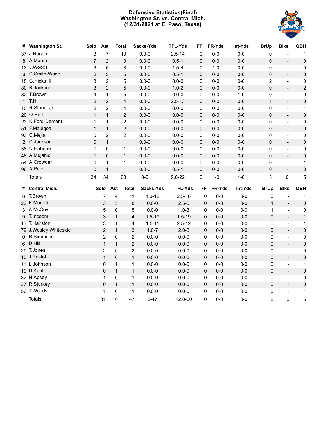# **Defensive Statistics(Final) Washington St. vs. Central Mich. (12/31/2021 at El Paso, Texas)**



| # | <b>Washington St.</b> | Solo           | Ast            | Total        |                         | Sacks-Yds  | <b>TFL-Yds</b> | FF           | FR-Yds  | Int-Yds | <b>BrUp</b>    | <b>Blks</b>                  | <b>QBH</b>          |
|---|-----------------------|----------------|----------------|--------------|-------------------------|------------|----------------|--------------|---------|---------|----------------|------------------------------|---------------------|
|   | 37 J.Rogers           | 3              | $\overline{7}$ |              | 10                      | $0.0 - 0$  | $2.5 - 14$     | $\mathbf{0}$ | $0-0$   | $0-0$   | $\mathbf{0}$   |                              | 1                   |
|   | 8 A.Marsh             | $\overline{7}$ | $\overline{2}$ |              | $\boldsymbol{9}$        | $0.0 - 0$  | $0.5 - 1$      | $\Omega$     | $0-0$   | $0-0$   | $\Omega$       | $\overline{a}$               | $\pmb{0}$           |
|   | 13 J.Woods            | 3              | 5              |              | 8                       | $0.0 - 0$  | $1.5 - 4$      | 0            | $1 - 0$ | $0-0$   | 0              | $\overline{a}$               | $\pmb{0}$           |
|   | 6 C.Smith-Wade        | $\overline{2}$ | 3              |              | 5                       | $0.0 - 0$  | $0.5 - 1$      | $\mathbf 0$  | $0-0$   | $0-0$   | $\pmb{0}$      | $\frac{1}{2}$                | $\pmb{0}$           |
|   | 18 G.Hicks III        | 3              | $\overline{2}$ |              | 5                       | $0.0 - 0$  | $0.0 - 0$      | 0            | $0 - 0$ | $0-0$   | $\overline{2}$ | $\frac{1}{2}$                | 0                   |
|   | 80 B.Jackson          | 3              | $\overline{2}$ |              | 5                       | $0.0 - 0$  | $1.0 - 2$      | 0            | $0-0$   | $0-0$   | $\mathbf 0$    | $\overline{\phantom{a}}$     | $\mathbf 2$         |
|   | 82 T.Brown            | 4              | 1              |              | 5                       | $0.0 - 0$  | $0.0 - 0$      | 0            | $0-0$   | $1-0$   | 0              | $\overline{a}$               | 0                   |
|   | 1 T.Hill              | $\overline{2}$ | $\overline{2}$ |              | $\overline{\mathbf{4}}$ | $0.0 - 0$  | $2.5 - 13$     | 0            | $0 - 0$ | $0-0$   | $\mathbf{1}$   | $\overline{\phantom{a}}$     | $\mathsf 0$         |
|   | 10 R.Stone, Jr.       | 2              | 2              |              | 4                       | $0.0 - 0$  | $0.0 - 0$      | 0            | $0 - 0$ | $0 - 0$ | 0              | $\overline{a}$               | 1                   |
|   | 20 Q.Roff             | $\mathbf{1}$   | $\mathbf{1}$   |              | $\overline{2}$          | $0.0 - 0$  | $0.0 - 0$      | 0            | $0 - 0$ | $0-0$   | $\mathbf 0$    | $\overline{\phantom{a}}$     | $\mathsf{O}\xspace$ |
|   | 23 K.Ford-Dement      | 1              | 1              |              | $\overline{2}$          | $0.0 - 0$  | $0.0 - 0$      | 0            | $0-0$   | $0-0$   | 0              | $\blacksquare$               | 0                   |
|   | 51 F.Mauigoa          | $\mathbf{1}$   | $\mathbf{1}$   |              | $\overline{2}$          | $0.0 - 0$  | $0.0 - 0$      | 0            | $0-0$   | $0-0$   | $\mathbf 0$    | $\blacksquare$               | $\mathsf{O}\xspace$ |
|   | 93 C.Mejia            | 0              | 2              |              | 2                       | $0.0 - 0$  | $0.0 - 0$      | 0            | $0-0$   | $0-0$   | 0              | $\frac{1}{2}$                | 0                   |
|   | 2 C.Jackson           | $\mathbf 0$    | $\mathbf{1}$   |              | $\mathbf{1}$            | $0.0 - 0$  | $0.0 - 0$      | 0            | $0 - 0$ | $0-0$   | 0              | $\qquad \qquad -$            | $\mathsf{O}\xspace$ |
|   | 38 N.Haberer          | 1              | 0              |              | 1                       | $0.0 - 0$  | $0.0 - 0$      | 0            | $0-0$   | $0-0$   | 0              | $\overline{a}$               | 0                   |
|   | 48 A.Mujahid          | $\mathbf{1}$   | $\Omega$       |              | $\mathbf{1}$            | $0.0 - 0$  | $0.0 - 0$      | $\mathbf 0$  | $0-0$   | $0-0$   | 0              | $\overline{a}$               | $\pmb{0}$           |
|   | 54 A.Crowder          | $\mathbf 0$    | 1              |              | 1                       | $0.0 - 0$  | $0.0 - 0$      | 0            | $0-0$   | $0-0$   | 0              | $\qquad \qquad \blacksquare$ | 1                   |
|   | 96 A.Pule             | $\mathbf 0$    | $\mathbf{1}$   |              | $\mathbf{1}$            | $0.0 - 0$  | $0.5 - 1$      | 0            | $0 - 0$ | $0 - 0$ | 0              | $\overline{a}$               | $\pmb{0}$           |
|   |                       |                |                |              |                         |            |                |              |         |         |                |                              |                     |
|   | <b>Totals</b>         | 34             | 34             |              | 68                      | $0-0$      | $9.0 - 22$     | $\mathbf 0$  | $1 - 0$ | $1-0$   | 3              | $\mathbf{0}$                 | $\overline{5}$      |
|   | # Central Mich.       |                | Solo           | Ast          | <b>Total</b>            | Sacks-Yds  | <b>TFL-Yds</b> | FF           | FR-Yds  | Int-Yds | <b>BrUp</b>    | <b>Blks</b>                  | QBH                 |
| 8 | T.Brown               |                | 7              | 4            | 11                      | $1.0 - 12$ | $2.5 - 16$     | $\mathbf 0$  | $0-0$   | $0-0$   | $\mathbf 0$    | $\blacksquare$               | 1                   |
|   | 22 K.Moretti          |                | 3              | 5            | 8                       | $0.0 - 0$  | $2.5 - 5$      | 0            | $0-0$   | $0-0$   | $\mathbf{1}$   | $\overline{\phantom{a}}$     | $\pmb{0}$           |
|   | 3 A.McCoy             |                | 5              | $\mathbf 0$  | 5                       | $0.0 - 0$  | $1.0 - 3$      | 0            | $0-0$   | $0-0$   | 1              | $\overline{\phantom{a}}$     | 0                   |
|   | 9 T.Incoom            |                | 3              | $\mathbf{1}$ | $\overline{\mathbf{4}}$ | $1.5 - 19$ | $1.5 - 19$     | 0            | $0-0$   | $0-0$   | $\mathbf 0$    | $\sim$                       | $\mathbf{1}$        |
|   | 13 T.Hairston         |                | 3              | $\mathbf{1}$ | 4                       | $1.5 - 11$ | $2.5 - 12$     | 0            | $0-0$   | $0-0$   | 0              | $\blacksquare$               | 1                   |
|   | 79 J.Wesley Whiteside |                | $\overline{2}$ | $\mathbf{1}$ | $\mathsf 3$             | $1.0 - 7$  | $2.0 - 8$      | 0            | $0-0$   | $0-0$   | 0              | $\blacksquare$               | $\mathsf 0$         |
|   | 0 R.Simmons           |                | $\overline{c}$ | 0            | $\overline{2}$          | $0.0 - 0$  | $0.0 - 0$      | 0            | $0-0$   | $0-0$   | 0              | $\overline{\phantom{a}}$     | $\pmb{0}$           |
| 6 | D.Hill                |                | $\mathbf{1}$   | $\mathbf{1}$ | $\overline{2}$          | $0.0 - 0$  | $0.0 - 0$      | 0            | $0-0$   | $0-0$   | 0              | $\overline{\phantom{a}}$     | $\mathbf 0$         |
|   | 29 T.Jones            |                | $\overline{c}$ | 0            | $\overline{2}$          | $0.0 - 0$  | $0.0 - 0$      | 0            | $0-0$   | $0-0$   | 0              | $\overline{\phantom{a}}$     | 0                   |
|   | 10 J.Bristol          |                | $\mathbf{1}$   | $\Omega$     | $\mathbf{1}$            | $0.0 - 0$  | $0.0 - 0$      | 0            | $0-0$   | $0-0$   | 0              | $\overline{\phantom{a}}$     | $\mathbf 0$         |
|   | 11 L.Johnson          |                | 0              | $\mathbf 1$  | $\mathbf{1}$            | $0.0 - 0$  | $0.0 - 0$      | 0            | $0 - 0$ | $0 - 0$ | 0              | $\overline{\phantom{a}}$     | 1                   |
|   | 19 D.Kent             |                | 0              | $\mathbf{1}$ | $\mathbf{1}$            | $0.0 - 0$  | $0.0 - 0$      | 0            | $0-0$   | $0-0$   | 0              | $\overline{\phantom{a}}$     | $\pmb{0}$           |
|   | 32 N.Apsey            |                | 1              | 0            | $\mathbf{1}$            | $0.0 - 0$  | $0.0 - 0$      | 0            | $0 - 0$ | $0-0$   | 0              | $\blacksquare$               | 0                   |
|   | 37 R.Sturkey          |                | 0              | $\mathbf{1}$ | $\mathbf{1}$            | $0.0 - 0$  | $0.0 - 0$      | 0            | $0-0$   | $0-0$   | $\overline{0}$ | $\overline{\phantom{a}}$     | $\pmb{0}$           |
|   | 56 T.Woods            |                | 1              | 0            | 1                       | $0.0 - 0$  | $0.0 - 0$      | 0            | $0-0$   | $0-0$   | 0              | $\overline{\phantom{a}}$     | 1                   |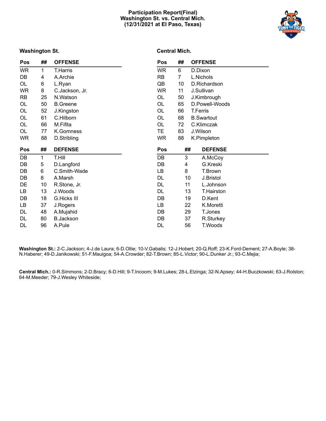# **Participation Report(Final) Washington St. vs. Central Mich. (12/31/2021 at El Paso, Texas)**



# **Washington St.**

# **Central Mich.**

| Pos       | ##          | <b>OFFENSE</b>     | <b>Pos</b> | ## | <b>OFFENSE</b>     |
|-----------|-------------|--------------------|------------|----|--------------------|
| WR        | $\mathbf 1$ | T.Harris           | <b>WR</b>  | 6  | D.Dixon            |
| DB        | 4           | A.Archie           | RB         | 7  | L.Nichols          |
| OL        | 6           | L.Ryan             | QB         | 10 | D.Richardson       |
| <b>WR</b> | 8           | C.Jackson, Jr.     | WR         | 11 | J.Sullivan         |
| RB        | 25          | N.Watson           | OL         | 50 | J.Kimbrough        |
| OL        | 50          | <b>B.Greene</b>    | OL         | 65 | D.Powell-Woods     |
| OL        | 52          | J.Kingston         | OL         | 66 | <b>T.Ferris</b>    |
| OL        | 61          | C.Hilborn          | OL         | 68 | <b>B.</b> Swartout |
| OL        | 66          | M.Fifita           | OL         | 72 | C.Klimczak         |
| OL        | 77          | K.Gomness          | TE.        | 83 | J.Wilson           |
| <b>WR</b> | 88          | D.Stribling        | <b>WR</b>  | 88 | K.Pimpleton        |
|           |             |                    |            |    |                    |
| Pos       | ##          | <b>DEFENSE</b>     | <b>Pos</b> | ## | <b>DEFENSE</b>     |
| DB        | 1           | T.Hill             | DB         | 3  | A.McCoy            |
| DB        | 5           | D.Langford         | DB         | 4  | G.Kreski           |
| DB        | 6           | C.Smith-Wade       | LB         | 8  | T.Brown            |
| DB        | 8           | A.Marsh            | DL         | 10 | J.Bristol          |
| DE        | 10          | R.Stone, Jr.       | DL         | 11 | L.Johnson          |
| LB        | 13          | J.Woods            | DL         | 13 | T.Hairston         |
| DB        | 18          | <b>G.Hicks III</b> | DB         | 19 | D.Kent             |
| LB        | 37          | J.Rogers           | LB         | 22 | K.Moretti          |
| DL        | 48          | A.Mujahid          | DB         | 29 | T.Jones            |
| DL        | 80          | <b>B.Jackson</b>   | DB         | 37 | R.Sturkey          |
| DL        | 96          | A.Pule             | DL         | 56 | T.Woods            |

**Washington St.:** 2-C.Jackson; 4-J.de Laura; 6-D.Ollie; 10-V.Gabalis; 12-J.Hobert; 20-Q.Roff; 23-K.Ford-Dement; 27-A.Boyle; 38- N.Haberer; 49-D.Janikowski; 51-F.Mauigoa; 54-A.Crowder; 82-T.Brown; 85-L.Victor; 90-L.Dunker Jr.; 93-C.Mejia;

**Central Mich.:** 0-R.Simmons; 2-D.Bracy; 6-D.Hill; 9-T.Incoom; 9-M.Lukes; 28-L.Elzinga; 32-N.Apsey; 44-H.Buczkowski; 63-J.Rolston; 64-M.Meeder; 79-J.Wesley Whiteside;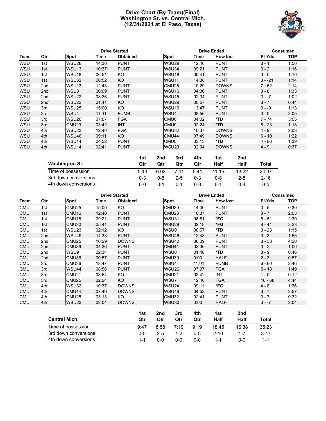# **Drive Chart (By Team)(Final) Washington St. vs. Central Mich. (12/31/2021 at El Paso, Texas)**



|            |                 |                   |       | <b>Drive Started</b> |                   | <b>Drive Ended</b> |                 | <b>Consumed</b> |            |  |
|------------|-----------------|-------------------|-------|----------------------|-------------------|--------------------|-----------------|-----------------|------------|--|
| Team       | Qtr             | Spot              | Time  | <b>Obtained</b>      | <b>Spot</b>       | Time               | <b>How lost</b> | <b>PI-Yds</b>   | <b>TOP</b> |  |
| WSU        | 1st             | WSU28             | 14:30 | <b>PUNT</b>          | WSU <sub>29</sub> | 12:40              | <b>PUNT</b>     | $3 - 1$         | 1:50       |  |
| <b>WSU</b> | 1st             | WSU <sub>13</sub> | 10:37 | <b>PUNT</b>          | WSU34             | 09:21              | <b>PUNT</b>     | $3 - 21$        | 1:16       |  |
| WSU        | 1st             | WSU <sub>18</sub> | 06:51 | KO                   | WSU <sub>18</sub> | 05:41              | <b>PUNT</b>     | $3 - 0$         | 1:10       |  |
| <b>WSU</b> | 1st             | WSU32             | 00:52 | KO                   | WSU <sub>11</sub> | 14:38              | <b>PUNT</b>     | $3 - -21$       | 1:14       |  |
| WSU        | 2nd             | WSU <sub>13</sub> | 12:43 | <b>PUNT</b>          | CMU <sub>25</sub> | 10:29              | <b>DOWNS</b>    | $7 - 62$        | 2:14       |  |
| <b>WSU</b> | 2 <sub>nd</sub> | WSU8              | 06:09 | <b>PUNT</b>          | WSU <sub>16</sub> | 04:36              | <b>PUNT</b>     | $3 - 8$         | 1:33       |  |
| <b>WSU</b> | 2nd             | WSU22             | 03:36 | <b>PUNT</b>          | WSU <sub>15</sub> | 02:34              | <b>PUNT</b>     | $3 - -7$        | 1:02       |  |
| <b>WSU</b> | 2 <sub>nd</sub> | WSU22             | 01:41 | KO                   | WSU <sub>29</sub> | 00:57              | <b>PUNT</b>     | $3 - 7$         | 0:44       |  |
| <b>WSU</b> | 3rd             | WSU <sub>25</sub> | 15:00 | KO                   | WSU <sub>16</sub> | 13:47              | <b>PUNT</b>     | $3 - -9$        | 1:13       |  |
| <b>WSU</b> | 3rd             | WSU4              | 11:01 | <b>FUMB</b>          | WSU4              | 08:56              | <b>PUNT</b>     | $3 - 0$         | 2:05       |  |
| <b>WSU</b> | 3rd             | WSU <sub>26</sub> | 07:07 | <b>FGA</b>           | CMU <sub>0</sub>  | 04:02              | *TD             | $7 - 74$        | 3:05       |  |
| <b>WSU</b> | 3rd             | CMU <sub>23</sub> | 03:42 | <b>INT</b>           | CMU <sub>0</sub>  | 02:24              | *TD             | $6 - 23$        | 1:18       |  |
| <b>WSU</b> | 4th             | WSU23             | 12:40 | <b>FGA</b>           | WSU32             | 10:37              | <b>DOWNS</b>    | $4 - 9$         | 2:03       |  |
| <b>WSU</b> | 4th             | WSU46             | 09:11 | KO                   | CMU <sub>44</sub> | 07:49              | <b>DOWNS</b>    | $6 - 10$        | 1:22       |  |
| WSU        | 4th             | WSU14             | 04:52 | <b>PUNT</b>          | CMU0              | 03:13              | *TD             | 4 - 86          | 1:39       |  |
| <b>WSU</b> | 4th             | WSU <sub>14</sub> | 02:41 | <b>PUNT</b>          | WSU <sub>23</sub> | 02:04              | <b>DOWNS</b>    | $4 - 9$         | 0:37       |  |

|                       | 1st     | 2nd     | 3rd     | 4th     | 1st   | 2nd     |          |
|-----------------------|---------|---------|---------|---------|-------|---------|----------|
| <b>Washington St.</b> | Qtr     | Qtr     | Qtr     | Qtr     | Half  | Half    | Total    |
| Time of possession    | 5:13    | 6:02    | 7.41    | 5:41    | 11:15 | 13:22   | 24:37    |
| 3rd down conversions  | $0 - 3$ | $0 - 5$ | $2 - 5$ | $0 - 3$ | 0-8   | $2 - 8$ | $2 - 16$ |
| 4th down conversions  | ი-ი     | $0 - 1$ | $0 - 1$ | 0-3     | 0-1   | በ-4     | $0 - 5$  |

|            |                 |                     |       | <b>Drive Started</b> |                   | <b>Drive Ended</b> |                 | Consumed      |            |  |
|------------|-----------------|---------------------|-------|----------------------|-------------------|--------------------|-----------------|---------------|------------|--|
| Team       | Qtr             | <b>Spot</b><br>Time |       | <b>Obtained</b>      | <b>Spot</b>       | Time               | <b>How lost</b> | <b>PI-Yds</b> | <b>TOP</b> |  |
| <b>CMU</b> | 1st             | CMU <sub>25</sub>   | 15:00 | KO.                  | CMU <sub>30</sub> | 14:30              | <b>PUNT</b>     | $3 - 5$       | 0:30       |  |
| <b>CMU</b> | 1st             | CMU <sub>16</sub>   | 12:40 | <b>PUNT</b>          | CMU <sub>23</sub> | 10:37              | <b>PUNT</b>     | $3 - 7$       | 2:03       |  |
| CMU        | 1st             | CMU <sub>18</sub>   | 09:21 | <b>PUNT</b>          | WSU31             | 06:51              | *FG             | $6 - 51$      | 2:30       |  |
| <b>CMU</b> | 1st             | CMU <sub>30</sub>   | 05:41 | <b>PUNT</b>          | WSU <sub>29</sub> | 02:18              | *FG             | $8 - 41$      | 3:23       |  |
| <b>CMU</b> | 1st             | WSU <sub>23</sub>   | 02:12 | KO.                  | WSU0              | 00:57              | *TD             | $3 - 23$      | 1:15       |  |
| <b>CMU</b> | 2 <sub>nd</sub> | WSU49               | 14:38 | <b>PUNT</b>          | WSU46             | 12:43              | <b>PUNT</b>     | $3 - 3$       | 1:55       |  |
| <b>CMU</b> | 2nd             | CMU <sub>25</sub>   | 10:29 | <b>DOWNS</b>         | WSU42             | 06:09              | <b>PUNT</b>     | $8 - 33$      | 4:20       |  |
| <b>CMU</b> | 2nd             | CMU <sub>39</sub>   | 04:36 | <b>PUNT</b>          | CMU <sub>41</sub> | 03:36              | <b>PUNT</b>     | $3 - 2$       | 1:00       |  |
| <b>CMU</b> | 2nd             | WSU9                | 02:34 | <b>PUNT</b>          | WSU0              | 01:48              | *TD             | $3 - 9$       | 0:46       |  |
| <b>CMU</b> | 2nd             | CMU36               | 00:57 | <b>PUNT</b>          | CMU39             | 0:00               | <b>HALF</b>     | $2 - 3$       | 0:57       |  |
| <b>CMU</b> | 3rd             | CMU36               | 13:47 | <b>PUNT</b>          | WSU4              | 11:01              | <b>FUMB</b>     | $6 - 60$      | 2:46       |  |
| <b>CMU</b> | 3rd             | WSU44               | 08:56 | <b>PUNT</b>          | WSU <sub>26</sub> | 07:07              | <b>FGA</b>      | $5 - 18$      | 1:49       |  |
| <b>CMU</b> | 3rd             | CMU <sub>21</sub>   | 03:54 | KO.                  | CMU <sub>21</sub> | 03:42              | <b>INT</b>      | 1 - 0         | 0:12       |  |
| <b>CMU</b> | 3rd             | CMU <sub>25</sub>   | 02:24 | KO                   | WSU7              | 12:40              | <b>FGA</b>      | 10 - 68       | 4:44       |  |
| <b>CMU</b> | 4th             | WSU32               | 10:37 | <b>DOWNS</b>         | WSU24             | 09:11              | *FG             | $4 - 8$       | 1:26       |  |
| <b>CMU</b> | 4th             | CMU44               | 07:49 | <b>DOWNS</b>         | WSU49             | 04:52              | <b>PUNT</b>     | $3 - 7$       | 2:57       |  |
| <b>CMU</b> | 4th             | CMU <sub>25</sub>   | 03:13 | KO                   | CMU32             | 02:41              | <b>PUNT</b>     | $3 - 7$       | 0:32       |  |
| <b>CMU</b> | 4th             | WSU <sub>23</sub>   | 02:04 | <b>DOWNS</b>         | WSU30             | 0:00               | <b>HALF</b>     | $3 - -7$      | 2:04       |  |

|                      | 1st     | 2nd     | 3rd  | 4th     | 1st      | 2nd   |          |
|----------------------|---------|---------|------|---------|----------|-------|----------|
| <b>Central Mich.</b> | Otr     | Qtr     | Qtr  | Qtr     | Half     | Half  | Total    |
| Time of possession   | 9.47    | 8:58    | 7:19 | 9:19    | 18:45    | 16:38 | 35:23    |
| 3rd down conversions | $0 - 5$ | $2 - 5$ | 1-2  | $0 - 5$ | $2 - 10$ | 1-7   | $3 - 17$ |
| 4th down conversions | $1 - 1$ | 0-0     | ი-ი  | 0-0     | 1-1      | ი-ი   | $1 - 1$  |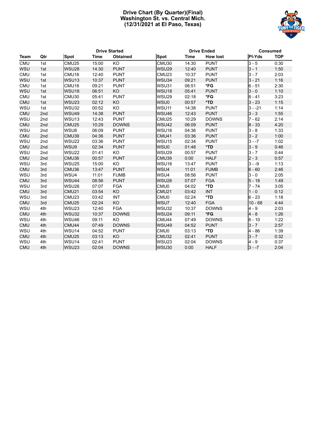# **Drive Chart (By Quarter)(Final) Washington St. vs. Central Mich. (12/31/2021 at El Paso, Texas)**



|            |     |                   | <b>Drive Started</b> |                 |                   | <b>Drive Ended</b> |                 | <b>Consumed</b> |            |  |
|------------|-----|-------------------|----------------------|-----------------|-------------------|--------------------|-----------------|-----------------|------------|--|
| Team       | Qtr | <b>Spot</b>       | Time                 | <b>Obtained</b> | <b>Spot</b>       | <b>Time</b>        | <b>How lost</b> | PI-Yds          | <b>TOP</b> |  |
| <b>CMU</b> | 1st | CMU25             | 15:00                | <b>KO</b>       | CMU30             | 14:30              | <b>PUNT</b>     | $3 - 5$         | 0:30       |  |
| <b>WSU</b> | 1st | WSU <sub>28</sub> | 14:30                | <b>PUNT</b>     | WSU <sub>29</sub> | 12:40              | <b>PUNT</b>     | $3 - 1$         | 1:50       |  |
| <b>CMU</b> | 1st | CMU <sub>16</sub> | 12:40                | <b>PUNT</b>     | CMU <sub>23</sub> | 10:37              | <b>PUNT</b>     | $3 - 7$         | 2:03       |  |
| <b>WSU</b> | 1st | WSU <sub>13</sub> | 10:37                | <b>PUNT</b>     | WSU34             | 09:21              | <b>PUNT</b>     | $3 - 21$        | 1:16       |  |
| <b>CMU</b> | 1st | CMU18             | 09:21                | <b>PUNT</b>     | WSU31             | 06:51              | $*FG$           | $6 - 51$        | 2:30       |  |
| WSU        | 1st | WSU18             | 06:51                | KO              | WSU18             | 05:41              | <b>PUNT</b>     | $3 - 0$         | 1:10       |  |
| <b>CMU</b> | 1st | CMU30             | 05:41                | <b>PUNT</b>     | <b>WSU29</b>      | 02:18              | $*FG$           | $8 - 41$        | 3:23       |  |
| <b>CMU</b> | 1st | WSU23             | 02:12                | KO              | WSU0              | 00:57              | *TD             | $3 - 23$        | 1:15       |  |
| WSU        | 1st | WSU32             | 00:52                | KO              | WSU11             | 14:38              | <b>PUNT</b>     | $3 - -21$       | 1:14       |  |
| <b>CMU</b> | 2nd | WSU49             | 14:38                | <b>PUNT</b>     | WSU46             | 12:43              | <b>PUNT</b>     | $3 - 3$         | 1:55       |  |
| WSU        | 2nd | WSU13             | 12:43                | <b>PUNT</b>     | CMU <sub>25</sub> | 10:29              | <b>DOWNS</b>    | $7 - 62$        | 2:14       |  |
| <b>CMU</b> | 2nd | CMU25             | 10:29                | <b>DOWNS</b>    | WSU42             | 06:09              | <b>PUNT</b>     | $8 - 33$        | 4:20       |  |
| WSU        | 2nd | WSU8              | 06:09                | <b>PUNT</b>     | WSU16             | 04:36              | <b>PUNT</b>     | $3 - 8$         | 1:33       |  |
| <b>CMU</b> | 2nd | CMU39             | 04:36                | <b>PUNT</b>     | CMU41             | 03:36              | <b>PUNT</b>     | $3 - 2$         | 1:00       |  |
| WSU        | 2nd | WSU22             | 03:36                | <b>PUNT</b>     | WSU15             | 02:34              | <b>PUNT</b>     | $3 - -7$        | 1:02       |  |
| <b>CMU</b> | 2nd | WSU9              | 02:34                | <b>PUNT</b>     | WSU0              | 01:48              | *TD             | $3 - 9$         | 0:46       |  |
| WSU        | 2nd | WSU22             | 01:41                | KO              | WSU29             | 00:57              | <b>PUNT</b>     | $3 - 7$         | 0:44       |  |
| <b>CMU</b> | 2nd | CMU36             | 00:57                | <b>PUNT</b>     | CMU39             | 0:00               | <b>HALF</b>     | $2 - 3$         | 0:57       |  |
| WSU        | 3rd | <b>WSU25</b>      | 15:00                | KO              | WSU16             | 13:47              | <b>PUNT</b>     | $3 - -9$        | 1:13       |  |
| <b>CMU</b> | 3rd | CMU36             | 13:47                | <b>PUNT</b>     | WSU4              | 11:01              | <b>FUMB</b>     | $6 - 60$        | 2:46       |  |
| WSU        | 3rd | WSU4              | 11:01                | <b>FUMB</b>     | WSU4              | 08:56              | <b>PUNT</b>     | $3 - 0$         | 2:05       |  |
| <b>CMU</b> | 3rd | WSU44             | 08:56                | <b>PUNT</b>     | WSU26             | 07:07              | <b>FGA</b>      | $5 - 18$        | 1:49       |  |
| WSU        | 3rd | WSU26             | 07:07                | <b>FGA</b>      | CMU0              | 04:02              | *TD             | $7 - 74$        | 3:05       |  |
| <b>CMU</b> | 3rd | CMU21             | 03:54                | KO              | CMU <sub>21</sub> | 03:42              | <b>INT</b>      | $1 - 0$         | 0:12       |  |
| WSU        | 3rd | CMU <sub>23</sub> | 03:42                | <b>INT</b>      | CMU <sub>0</sub>  | 02:24              | *TD             | $6 - 23$        | 1:18       |  |
| <b>CMU</b> | 3rd | CMU <sub>25</sub> | 02:24                | KO              | WSU7              | 12:40              | <b>FGA</b>      | $10 - 68$       | 4:44       |  |
| WSU        | 4th | WSU23             | 12:40                | <b>FGA</b>      | WSU32             | 10:37              | <b>DOWNS</b>    | $4 - 9$         | 2:03       |  |
| <b>CMU</b> | 4th | WSU32             | 10:37                | <b>DOWNS</b>    | WSU24             | 09:11              | $*FG$           | $4 - 8$         | 1:26       |  |
| WSU        | 4th | WSU46             | 09:11                | <b>KO</b>       | CMU44             | 07:49              | <b>DOWNS</b>    | $6 - 10$        | 1:22       |  |
| <b>CMU</b> | 4th | CMU44             | 07:49                | <b>DOWNS</b>    | WSU49             | 04:52              | <b>PUNT</b>     | $3 - 7$         | 2:57       |  |
| WSU        | 4th | WSU14             | 04:52                | <b>PUNT</b>     | CMU0              | 03:13              | *TD             | $4 - 86$        | 1:39       |  |
| <b>CMU</b> | 4th | CMU <sub>25</sub> | 03:13                | KO              | CMU32             | 02:41              | <b>PUNT</b>     | $3 - 7$         | 0:32       |  |
| WSU        | 4th | WSU14             | 02:41                | <b>PUNT</b>     | WSU <sub>23</sub> | 02:04              | <b>DOWNS</b>    | $4 - 9$         | 0:37       |  |
| <b>CMU</b> | 4th | WSU <sub>23</sub> | 02:04                | <b>DOWNS</b>    | WSU30             | 0:00               | <b>HALF</b>     | $3 - -7$        | 2:04       |  |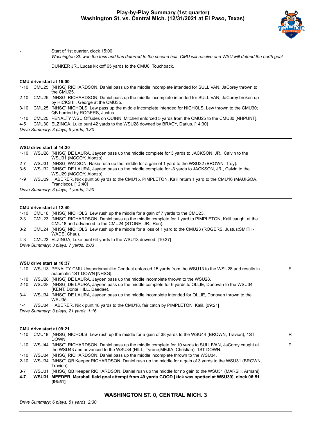

Start of 1st quarter, clock 15:00.

*Washington St. won the toss and has deferred to the second half. CMU will receive and WSU will defend the north goal.*

DUNKER JR., Lucas kickoff 65 yards to the CMU0, Touchback.

#### **CMU drive start at 15:00**

| 1-10     | CMU25 [NHSG] RICHARDSON, Daniel pass up the middle incomplete intended for SULLIVAN, JaCorey thrown to<br>the CMU25.                         |
|----------|----------------------------------------------------------------------------------------------------------------------------------------------|
| $2 - 10$ | CMU25 [NHSG] RICHARDSON, Daniel pass up the middle incomplete intended for SULLIVAN, JaCorey broken up<br>by HICKS III, George at the CMU35. |
| $3-10$   | CMU25 [NHSG] NICHOLS, Lew pass up the middle incomplete intended for NICHOLS, Lew thrown to the CMU30;<br>QB hurried by ROGERS, Justus.      |
| 44 O     | CMURE DENALTY WELLO#pides on OLUNN, Mitchell enforced 5 varde from the CMURE to the CMURO INLINITI                                           |

4-10 CMU25 PENALTY WSU Offsides on QUINN, Mitchell enforced 5 yards from the CMU25 to the CMU30 [NHPUNT].

4-5 CMU30 ELZINGA, Luke punt 42 yards to the WSU28 downed by BRACY, Darius. [14:30]

*Drive Summary: 3 plays, 5 yards, 0:30*

#### **WSU drive start at 14:30**

| $1 - 10$ |                                       | WSU28 [NHSG] DE LAURA, Jayden pass up the middle complete for 3 yards to JACKSON, JR., Calvin to the<br>WSU31 (MCCOY, Alonzo).  |  |  |  |  |  |  |  |
|----------|---------------------------------------|---------------------------------------------------------------------------------------------------------------------------------|--|--|--|--|--|--|--|
| $2 - 7$  |                                       | WSU31 [NHSG] WATSON, Nakia rush up the middle for a gain of 1 yard to the WSU32 (BROWN, Troy).                                  |  |  |  |  |  |  |  |
| $3-6$    |                                       | WSU32 [NHSG] DE LAURA, Jayden pass up the middle complete for -3 yards to JACKSON, JR., Calvin to the<br>WSU29 (MCCOY, Alonzo). |  |  |  |  |  |  |  |
| $4-9$    |                                       | WSU29 HABERER, Nick punt 56 yards to the CMU15, PIMPLETON, Kalil return 1 yard to the CMU16 (MAUIGOA,<br>Francisco). [12:40]    |  |  |  |  |  |  |  |
|          | Drive Summary: 3 plays, 1 yards, 1:50 |                                                                                                                                 |  |  |  |  |  |  |  |

#### **CMU drive start at 12:40**

| 1-10 CMU16 [NHSG] NICHOLS, Lew rush up the middle for a gain of 7 yards to the CMU23. |  |  |  |  |  |  |  |
|---------------------------------------------------------------------------------------|--|--|--|--|--|--|--|
|---------------------------------------------------------------------------------------|--|--|--|--|--|--|--|

- 2-3 CMU23 [NHSG] RICHARDSON, Daniel pass up the middle complete for 1 yard to PIMPLETON, Kalil caught at the CMU18 and advanced to the CMU24 (STONE, JR., Ron).
- 3-2 CMU24 [NHSG] NICHOLS, Lew rush up the middle for a loss of 1 yard to the CMU23 (ROGERS, Justus;SMITH-WADE, Chau).
- 4-3 CMU23 ELZINGA, Luke punt 64 yards to the WSU13 downed. [10:37]
- *Drive Summary: 3 plays, 7 yards, 2:03*

#### **WSU drive start at 10:37**

|          |                                        | 1-10 WSU13 PENALTY CMU Unsportsmanlike Conduct enforced 15 yards from the WSU13 to the WSU28 and results in<br>automatic 1ST DOWN [NHSG]. |  |  |  |  |  |  |  |
|----------|----------------------------------------|-------------------------------------------------------------------------------------------------------------------------------------------|--|--|--|--|--|--|--|
|          |                                        | 1-10 WSU28 [NHSG] DE LAURA, Jayden pass up the middle incomplete thrown to the WSU28.                                                     |  |  |  |  |  |  |  |
| $2 - 10$ |                                        | WSU28 [NHSG] DE LAURA, Jayden pass up the middle complete for 6 yards to OLLIE, Donovan to the WSU34<br>(KENT, Donte: HILL, Daedae).      |  |  |  |  |  |  |  |
| $3 - 4$  |                                        | WSU34 [NHSG] DE LAURA, Jayden pass up the middle incomplete intended for OLLIE, Donovan thrown to the<br>WSU35.                           |  |  |  |  |  |  |  |
| $4 - 4$  |                                        | WSU34 HABERER, Nick punt 48 yards to the CMU18, fair catch by PIMPLETON, Kalil. [09:21]                                                   |  |  |  |  |  |  |  |
|          | Drive Summary: 3 plays, 21 yards, 1:16 |                                                                                                                                           |  |  |  |  |  |  |  |

#### **CMU drive start at 09:21**

|       | DOWN.                                                                           | R                                                                                                                                                                                                                                                                                                                                                                                                                                                                                                                                                                                                                                |
|-------|---------------------------------------------------------------------------------|----------------------------------------------------------------------------------------------------------------------------------------------------------------------------------------------------------------------------------------------------------------------------------------------------------------------------------------------------------------------------------------------------------------------------------------------------------------------------------------------------------------------------------------------------------------------------------------------------------------------------------|
|       | the WSU43 and advanced to the WSU34 (HILL, Tyrone; MEJIA, Christian), 1ST DOWN. | P                                                                                                                                                                                                                                                                                                                                                                                                                                                                                                                                                                                                                                |
|       |                                                                                 |                                                                                                                                                                                                                                                                                                                                                                                                                                                                                                                                                                                                                                  |
|       | Travion).                                                                       |                                                                                                                                                                                                                                                                                                                                                                                                                                                                                                                                                                                                                                  |
|       |                                                                                 |                                                                                                                                                                                                                                                                                                                                                                                                                                                                                                                                                                                                                                  |
| WSU31 | [06:51]                                                                         |                                                                                                                                                                                                                                                                                                                                                                                                                                                                                                                                                                                                                                  |
|       |                                                                                 | CMU18 [NHSG] NICHOLS, Lew rush up the middle for a gain of 38 yards to the WSU44 (BROWN, Travion), 1ST<br>WSU44 [NHSG] RICHARDSON, Daniel pass up the middle complete for 10 yards to SULLIVAN, JaCorey caught at<br>WSU34 [NHSG] RICHARDSON, Daniel pass up the middle incomplete thrown to the WSU34.<br>WSU34 [NHSG] QB Keeper RICHARDSON, Daniel rush up the middle for a gain of 3 yards to the WSU31 (BROWN,<br>WSU31 [NHSG] QB Keeper RICHARDSON, Daniel rush up the middle for no gain to the WSU31 (MARSH, Armani).<br>MEEDER, Marshall field goal attempt from 49 yards GOOD [kick was spotted at WSU39], clock 06:51. |

# **WASHINGTON ST. 0, CENTRAL MICH. 3**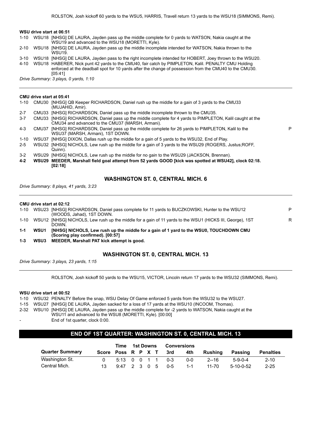#### **WSU drive start at 06:51**

- 1-10 WSU18 [NHSG] DE LAURA, Jayden pass up the middle complete for 0 yards to WATSON, Nakia caught at the WSU19 and advanced to the WSU18 (MORETTI, Kyle).
- 2-10 WSU18 [NHSG] DE LAURA, Jayden pass up the middle incomplete intended for WATSON, Nakia thrown to the WSU19.
- 3-10 WSU18 [NHSG] DE LAURA, Jayden pass to the right incomplete intended for HOBERT, Joey thrown to the WSU20.
- 4-10 WSU18 HABERER, Nick punt 42 yards to the CMU40, fair catch by PIMPLETON, Kalil. PENALTY CMU Holding
	- enforced at the deadball spot for 10 yards after the change of possession from the CMU40 to the CMU30. [05:41]

*Drive Summary: 3 plays, 0 yards, 1:10*

#### **CMU drive start at 05:41**

|          |       | 1-10 CMU30 [NHSG] QB Keeper RICHARDSON, Daniel rush up the middle for a gain of 3 yards to the CMU33<br>(MUJAHID, Amir).                                |   |
|----------|-------|---------------------------------------------------------------------------------------------------------------------------------------------------------|---|
| $2 - 7$  | CMU33 | [NHSG] RICHARDSON, Daniel pass up the middle incomplete thrown to the CMU35.                                                                            |   |
| $3 - 7$  | CMU33 | [NHSG] RICHARDSON, Daniel pass up the middle complete for 4 yards to PIMPLETON, Kalil caught at the<br>CMU34 and advanced to the CMU37 (MARSH, Armani). |   |
| $4 - 3$  | CMU37 | [NHSG] RICHARDSON, Daniel pass up the middle complete for 26 yards to PIMPLETON, Kalil to the<br>WSU37 (MARSH, Armani), 1ST DOWN.                       | P |
| $1 - 10$ | WSU37 | [NHSG] DIXON, Dallas rush up the middle for a gain of 5 yards to the WSU32, End of Play.                                                                |   |
| $2 - 5$  |       | WSU32 [NHSG] NICHOLS, Lew rush up the middle for a gain of 3 yards to the WSU29 (ROGERS, Justus: ROFF,<br>Quinn).                                       |   |
| $3-2$    | WSU29 | [NHSG] NICHOLS, Lew rush up the middle for no gain to the WSU29 (JACKSON, Brennan).                                                                     |   |
| $4 - 2$  |       | WSU29 MEEDER, Marshall field goal attempt from 52 yards GOOD [kick was spotted at WSU42], clock 02:18.<br>[02:18]                                       |   |
|          |       |                                                                                                                                                         |   |

#### **WASHINGTON ST. 0, CENTRAL MICH. 6**

*Drive Summary: 8 plays, 41 yards, 3:23*

**CMU drive start at 02:12**

|          |      | (Scoring play confirmed). [00:57]                                                                        |   |
|----------|------|----------------------------------------------------------------------------------------------------------|---|
| $1 - 1$  | WSU1 | [NHSG] NICHOLS, Lew rush up the middle for a gain of 1 yard to the WSU0, TOUCHDOWN CMU                   |   |
|          |      | DOWN.                                                                                                    |   |
| $1 - 10$ |      | WSU12 [NHSG] NICHOLS, Lew rush up the middle for a gain of 11 yards to the WSU1 (HICKS III, George), 1ST | R |
|          |      | (WOODS, Jahad), 1ST DOWN.                                                                                |   |
| $1 - 10$ |      | WSU23 [NHSG] RICHARDSON, Daniel pass complete for 11 yards to BUCZKOWSKI, Hunter to the WSU12            | D |

**1-3 WSU3 MEEDER, Marshall PAT kick attempt is good.**

#### **WASHINGTON ST. 0, CENTRAL MICH. 13**

*Drive Summary: 3 plays, 23 yards, 1:15*

ROLSTON, Josh kickoff 50 yards to the WSU15, VICTOR, Lincoln return 17 yards to the WSU32 (SIMMONS, Remi).

#### **WSU drive start at 00:52**

1-10 WSU32 PENALTY Before the snap, WSU Delay Of Game enforced 5 yards from the WSU32 to the WSU27.

- 1-15 WSU27 [NHSG] DE LAURA, Jayden sacked for a loss of 17 yards at the WSU10 (INCOOM, Thomas).
- 2-32 WSU10 [NHSG] DE LAURA, Jayden pass up the middle complete for -2 yards to WATSON, Nakia caught at the WSU11 and advanced to the WSU8 (MORETTI, Kyle). [00:00]
	- End of 1st quarter, clock 0:00.

# **END OF 1ST QUARTER: WASHINGTON ST. 0, CENTRAL MICH. 13**

|                        | Time               | 1st Downs    |  |  | <b>Conversions</b> |         |         |          |             |                  |
|------------------------|--------------------|--------------|--|--|--------------------|---------|---------|----------|-------------|------------------|
| <b>Quarter Summary</b> | Score Poss R P X T |              |  |  |                    | 3rd     | 4th     | Rushina  | Passing     | <b>Penalties</b> |
| Washington St.         |                    | 5:13 0 0 1 1 |  |  |                    | - 0-3   | 0-0     | $2 - 16$ | $5-9-0-4$   | $2 - 10$         |
| Central Mich.          | 13.                | 9:47 2 3 0 5 |  |  |                    | $0 - 5$ | $1 - 1$ | 11-70    | $5-10-0-52$ | $2 - 25$         |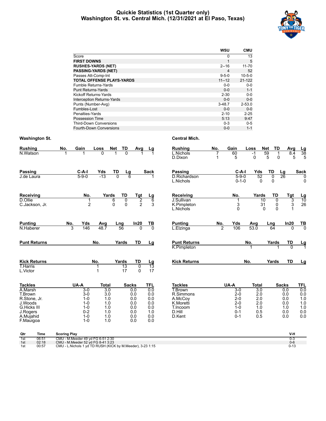## **Quickie Statistics (1st Quarter only) Washington St. vs. Central Mich. (12/31/2021 at El Paso, Texas)**



|                                   | wsu          | <b>CMU</b>   |
|-----------------------------------|--------------|--------------|
| Score                             | 0            | 13           |
| <b>FIRST DOWNS</b>                | $\mathbf{1}$ | 5            |
| <b>RUSHES-YARDS (NET)</b>         | $2 - 16$     | $11 - 70$    |
| <b>PASSING-YARDS (NET)</b>        | 4            | 52           |
| Passes Att-Comp-Int               | $9 - 5 - 0$  | $10 - 5 - 0$ |
| <b>TOTAL OFFENSE PLAYS-YARDS</b>  | $11 - 12$    | $21 - 122$   |
| Fumble Returns-Yards              | $0 - 0$      | $0 - 0$      |
| <b>Punt Returns-Yards</b>         | $0 - 0$      | $1 - 1$      |
| Kickoff Returns-Yards             | $2 - 30$     | $0 - 0$      |
| <b>Interception Returns-Yards</b> | $0 - 0$      | $0 - 0$      |
| Punts (Number-Avg)                | $3 - 48.7$   | $2 - 53.0$   |
| Fumbles-Lost                      | $0 - 0$      | $0 - 0$      |
| Penalties-Yards                   | $2 - 10$     | $2 - 25$     |
| Possession Time                   | 5:13         | 9:47         |
| <b>Third-Down Conversions</b>     | $0 - 3$      | $0 - 5$      |
| Fourth-Down Conversions           | $0 - 0$      | $1 - 1$      |

| <b>Rushing</b>              | No.                 | Gain                | Loss             | <b>Net</b>     | TD             | Avg                              | Lg                  | <b>Rushing</b>                         | No. | Gain                       | Loss             | Net                               | <b>TD</b>                       | Avg             |                        |
|-----------------------------|---------------------|---------------------|------------------|----------------|----------------|----------------------------------|---------------------|----------------------------------------|-----|----------------------------|------------------|-----------------------------------|---------------------------------|-----------------|------------------------|
| N.Watson                    |                     |                     | <sup>0</sup>     |                | $\Omega$       |                                  |                     | L.Nichols<br>D.Dixon                   | 1   | 60<br>5                    | $-1$<br>$\Omega$ | 59<br>5                           | 1<br>$\Omega$                   | 8.4<br>5        | $\frac{\text{Lg}}{38}$ |
| <b>Passing</b>              |                     | $C-A-I$             | Yds              | TD             | <u>Lg</u>      |                                  | <b>Sack</b>         | <b>Passing</b>                         |     | $C-A-I$                    | Yds              | TD                                |                                 | Lg              | <b>Sack</b>            |
| J.de Laura                  |                     | $5 - 9 - 0$         | $-13$            | $\overline{0}$ | $\overline{6}$ |                                  |                     | D.Richardson<br>L.Nichols              |     | $5 - 9 - 0$<br>$0 - 1 - 0$ |                  | 52<br>$\mathbf{0}$                | $\overline{0}$<br>0             | $\overline{26}$ | 0<br>0                 |
| Receiving                   |                     | No.                 |                  | Yards          | TD             | Tgt                              |                     | <b>Receiving</b>                       |     | No.                        |                  | Yards                             | TD                              | <b>Tgt</b>      |                        |
| D.Ollie<br>C.Jackson, Jr.   |                     | 1<br>$\overline{2}$ |                  | 6<br>$\Omega$  | 0<br>$\Omega$  | $\overline{2}$<br>$\overline{2}$ | $\frac{Lg}{6}$<br>3 | J.Sullivan<br>K.Pimpleton<br>L.Nichols |     | $\frac{3}{0}$              |                  | $\overline{10}$<br>31<br>$\Omega$ | $\overline{0}$<br>0<br>$\Omega$ | 3<br>3<br>1     | $\frac{Lg}{10}$<br>26  |
| <b>Punting</b>              | No.                 | Yds                 | Avg              |                | <b>Lng</b>     | In20                             | TB                  | <b>Punting</b>                         | No. | Yds                        | Avg              | Lng                               |                                 | In20            |                        |
| N.Haberer                   | 3                   | 146                 | 48.7             |                | 56             | $\Omega$                         | $\overline{0}$      | L.Elzinga                              | 7   | 106                        | 53.0             |                                   | 64                              | $\Omega$        | $\frac{TB}{0}$         |
| <b>Punt Returns</b>         |                     |                     | No.              |                | Yards          | <b>TD</b>                        | Lg                  | <b>Punt Returns</b>                    |     |                            | No.              |                                   | Yards                           | TD              | <u>Lg</u><br>1         |
|                             |                     |                     |                  |                |                |                                  |                     | K.Pimpleton                            |     |                            |                  |                                   |                                 | $\overline{0}$  |                        |
| <b>Kick Returns</b>         |                     |                     | No.              |                | Yards          | TD                               | $\frac{Lg}{13}$     | <b>Kick Returns</b>                    |     |                            | No.              |                                   | Yards                           | <b>TD</b>       | Lg                     |
| <b>T.Harris</b><br>L.Victor |                     |                     | 1                |                | 13<br>17       | $\overline{0}$<br>$\Omega$       | 17                  |                                        |     |                            |                  |                                   |                                 |                 |                        |
| <b>Tackles</b>              |                     | UA-A                | <b>Total</b>     |                | <b>Sacks</b>   |                                  | <b>TFL</b>          | <b>Tackles</b>                         |     | UA-A                       | <b>Total</b>     |                                   |                                 | <b>Sacks</b>    | TFL                    |
| A.Marsh<br>T.Brown          |                     | $3-0$<br>$3-0$      | $\overline{3.0}$ | 3.0            |                | 0.0<br>0.0                       | 0.0<br>0.0          | T.Brown<br>R.Simmons                   |     | $3-0$<br>$2 - 0$           | $\overline{3.0}$ | 2.0                               |                                 | 0.0<br>0.0      | 0.0<br>0.0             |
| R.Stone, Jr.                |                     | $1 - 0$             |                  | 1.0            |                | 0.0                              | 0.0                 | A.McCov                                |     | $2 - 0$                    |                  | 2.0                               |                                 | 0.0             | 1.0                    |
| J.Woods<br>G.Hicks III      |                     | $1 - 0$<br>$1 - 0$  | 1.0              | 1.0            |                | 0.0<br>0.0                       | 0.0<br>0.0          | K.Moretti<br>T.Incoom                  |     | $2 - 0$<br>$1 - 0$         | 1.0              | 2.0                               |                                 | 0.0<br>1.0      | 1.0                    |
| J.Rogers                    |                     | $0 - 2$             |                  | 1.0            |                | 0.0                              | 1.0                 | D.Hill                                 |     | $0 - 1$                    | 0.5              |                                   |                                 | 0.0             | 1.0<br>0.0             |
| A.Mujahid                   |                     | $1 - 0$             |                  | 1.0            |                | 0.0                              | 0.0                 | D.Kent                                 |     | $0 - 1$                    | 0.5              |                                   |                                 | 0.0             | 0.0                    |
| F.Mauigoa                   |                     | $1 - 0$             |                  | 1.0            |                | 0.0                              | 0.0                 |                                        |     |                            |                  |                                   |                                 |                 |                        |
| $\sim$<br>Time.             | <b>Cooring Digy</b> |                     |                  |                |                |                                  |                     |                                        |     |                            |                  |                                   |                                 | V <sub>H</sub>  |                        |

| Qtr | Time<br>$\sim$ | <b>Scoring Play</b>                                           | V-h     |
|-----|----------------|---------------------------------------------------------------|---------|
| 1st | 06:51          | J - M.Meeder 49 vd FG 6-51 2:30<br>CMU                        | U-3     |
| 1st | 02:18          | CMU - M.Meeder 52 vd FG 8-41 3:23                             | $0 - 6$ |
| 1st | 00:57          | CMU<br>L. Nichols 1 yd TD RUSH (KICK by M. Meeder), 3-23 1:15 | 0-13    |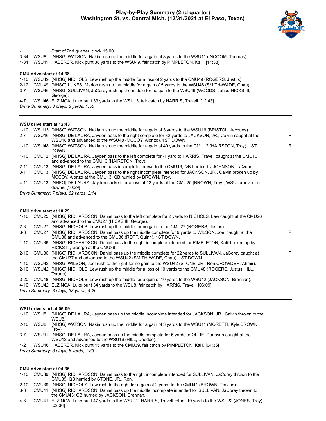

|      |       | Start of 2nd quarter, clock 15:00.                                                                               |
|------|-------|------------------------------------------------------------------------------------------------------------------|
| 3-34 | WSU8  | [NHSG] WATSON, Nakia rush up the middle for a gain of 3 yards to the WSU11 (INCOOM, Thomas).                     |
| 4-31 | WSU11 | HABERER, Nick punt 38 yards to the WSU49, fair catch by PIMPLETON, Kalil. [14:38]                                |
|      |       | CMU drive start at 14:38                                                                                         |
| 1-10 |       | WSU49 [NHSG] NICHOLS, Lew rush up the middle for a loss of 2 yards to the CMU49 (ROGERS, Justus).                |
|      |       | 2-12 CMU49 [NHSG] LUKES, Marion rush up the middle for a gain of 5 yards to the WSU46 (SMITH-WADE, Chau).        |
| 3-7  |       | WSU46 [NHSG] SULLIVAN, JaCorey rush up the middle for no gain to the WSU46 (WOODS, Jahad; HICKS III,<br>George). |
| 4-7  |       | WSU46 ELZINGA, Luke punt 33 yards to the WSU13, fair catch by HARRIS, Travell. [12:43]                           |
|      |       | Drive Summary: 3 plays, 3 yards, 1:55                                                                            |
|      |       |                                                                                                                  |
|      |       |                                                                                                                  |
|      |       |                                                                                                                  |

# **WSU drive start at 12:43**

|          | 1-10 WSU13 [NHSG] WATSON, Nakia rush up the middle for a gain of 3 yards to the WSU16 (BRISTOL, Jacques).                                                                 |   |
|----------|---------------------------------------------------------------------------------------------------------------------------------------------------------------------------|---|
| $2 - 7$  | WSU16 [NHSG] DE LAURA, Jayden pass to the right complete for 32 yards to JACKSON, JR., Calvin caught at the<br>WSU18 and advanced to the WSU48 (MCCOY, Alonzo), 1ST DOWN. | P |
| 1-10     | WSU48 [NHSG] WATSON, Nakia rush up the middle for a gain of 40 yards to the CMU12 (HAIRSTON, Troy), 1ST<br>DOWN.                                                          | R |
| 1-10     | CMU12 [NHSG] DE LAURA, Jayden pass to the left complete for -1 yard to HARRIS, Travell caught at the CMU10<br>and advanced to the CMU13 (HAIRSTON, Troy).                 |   |
| $2 - 11$ | CMU13 [NHSG] DE LAURA, Jayden pass incomplete thrown to the CMU13; QB hurried by JOHNSON, LaQuan.                                                                         |   |
| $3 - 11$ | CMU13 [NHSG] DE LAURA, Jayden pass to the right incomplete intended for JACKSON, JR., Calvin broken up by<br>MCCOY, Alonzo at the CMU13; QB hurried by BROWN, Troy.       |   |
| 4-11     | CMU13 [NHFG] DE LAURA, Jayden sacked for a loss of 12 yards at the CMU25 (BROWN, Troy); WSU turnover on<br>downs. [10:29]                                                 |   |
|          | Drive Summary: 7 plays, 62 yards, 2:14                                                                                                                                    |   |

# **CMU drive start at 10:29**

|          |                   | 1-10 CMU25 [NHSG] RICHARDSON, Daniel pass to the left complete for 2 yards to NICHOLS, Lew caught at the CMU26                                                               |   |
|----------|-------------------|------------------------------------------------------------------------------------------------------------------------------------------------------------------------------|---|
|          |                   | and advanced to the CMU27 (HICKS III, George).                                                                                                                               |   |
| $2 - 8$  | CMU <sub>27</sub> | [NHSG] NICHOLS, Lew rush up the middle for no gain to the CMU27 (ROGERS, Justus).                                                                                            |   |
| $3 - 8$  | CMU27             | [NHSG] RICHARDSON, Daniel pass up the middle complete for 9 yards to WILSON, Joel caught at the<br>CMU30 and advanced to the CMU36 (ROFF, Quinn), 1ST DOWN.                  | P |
| $1 - 10$ |                   | CMU36 [NHSG] RICHARDSON, Daniel pass to the right incomplete intended for PIMPLETON, Kalil broken up by<br>HICKS III, George at the CMU38.                                   |   |
| $2 - 10$ |                   | CMU36 [NHSG] RICHARDSON, Daniel pass up the middle complete for 22 yards to SULLIVAN, JaCorey caught at<br>the CMU37 and advanced to the WSU42 (SMITH-WADE, Chau), 1ST DOWN. | P |
| 1-10     |                   | WSU42 [NHSG] WILSON, Joel rush to the right for no gain to the WSU42 (STONE, JR., Ron;CROWDER, Ahmir).                                                                       |   |
| $2 - 10$ |                   | WSU42 [NHSG] NICHOLS, Lew rush up the middle for a loss of 10 yards to the CMU48 (ROGERS, Justus; HILL,                                                                      |   |
|          |                   | Tyrone).                                                                                                                                                                     |   |
| 3-20     |                   | CMU48 [NHSG] NICHOLS, Lew rush up the middle for a gain of 10 yards to the WSU42 (JACKSON, Brennan).                                                                         |   |
| 4-10     |                   | WSU42 ELZINGA, Luke punt 34 yards to the WSU8, fair catch by HARRIS, Travell, [06:09]                                                                                        |   |
|          |                   | Drive Summary: 8 plays, 33 yards, 4:20                                                                                                                                       |   |

#### **WSU drive start at 06:09**

| $1 - 10$ | WSU8  | [NHSG] DE LAURA, Jayden pass up the middle incomplete intended for JACKSON, JR., Calvin thrown to the<br>WSU8.                                     |
|----------|-------|----------------------------------------------------------------------------------------------------------------------------------------------------|
| $2 - 10$ | WSU8  | [NHSG] WATSON, Nakia rush up the middle for a gain of 3 yards to the WSU11 (MORETTI, Kyle; BROWN,<br>Trov).                                        |
| $3 - 7$  | WSU11 | [NHSG] DE LAURA, Jayden pass up the middle complete for 5 yards to OLLIE, Donovan caught at the<br>WSU12 and advanced to the WSU16 (HILL, Daedae). |
| $4 - 2$  |       | WSU16 HABERER, Nick punt 45 yards to the CMU39, fair catch by PIMPLETON, Kalil. [04:36]                                                            |
|          |       | Drive Summary: 3 plays, 8 yards, 1:33                                                                                                              |

#### **CMU drive start at 04:36**

|  | 1-10 CMU39 [NHSG] RICHARDSON, Daniel pass to the right incomplete intended for SULLIVAN, JaCorey thrown to the |
|--|----------------------------------------------------------------------------------------------------------------|
|  | CMU39; QB hurried by STONE, JR., Ron.                                                                          |

2-10 CMU39 [NHSG] NICHOLS, Lew rush to the right for a gain of 2 yards to the CMU41 (BROWN, Travion).

3-8 CMU41 [NHSG] RICHARDSON, Daniel pass up the middle incomplete intended for SULLIVAN, JaCorey thrown to the CMU43; QB hurried by JACKSON, Brennan.

4-8 CMU41 ELZINGA, Luke punt 47 yards to the WSU12, HARRIS, Travell return 10 yards to the WSU22 (JONES, Trey). [03:36]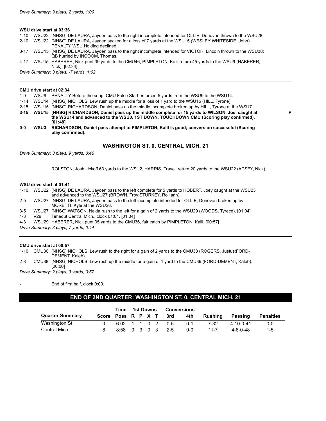#### **WSU drive start at 03:36**

- 1-10 WSU22 [NHSG] DE LAURA, Jayden pass to the right incomplete intended for OLLIE, Donovan thrown to the WSU28.
- 2-10 WSU22 [NHSG] DE LAURA, Jayden sacked for a loss of 7 yards at the WSU15 (WESLEY WHITESIDE, John). PENALTY WSU Holding declined.

3-17 WSU15 [NHSG] DE LAURA, Jayden pass to the right incomplete intended for VICTOR, Lincoln thrown to the WSU38; QB hurried by INCOOM, Thomas.

4-17 WSU15 HABERER, Nick punt 39 yards to the CMU46, PIMPLETON, Kalil return 45 yards to the WSU9 (HABERER, Nick). [02:34]

*Drive Summary: 3 plays, -7 yards, 1:02*

#### **CMU drive start at 02:34**

- 1-9 WSU9 PENALTY Before the snap, CMU False Start enforced 5 yards from the WSU9 to the WSU14.
- 1-14 WSU14 [NHSG] NICHOLS, Lew rush up the middle for a loss of 1 yard to the WSU15 (HILL, Tyrone).
- 2-15 WSU15 [NHSG] RICHARDSON, Daniel pass up the middle incomplete broken up by HILL, Tyrone at the WSU7.
- **3-15 WSU15 [NHSG] RICHARDSON, Daniel pass up the middle complete for 15 yards to WILSON, Joel caught at the WSU14 and advanced to the WSU0, 1ST DOWN, TOUCHDOWN CMU (Scoring play confirmed). [01:48]**
- **0-0 WSU3 RICHARDSON, Daniel pass attempt to PIMPLETON, Kalil is good; conversion successful (Scoring play confirmed).**

#### **WASHINGTON ST. 0, CENTRAL MICH. 21**

**P**

*Drive Summary: 3 plays, 9 yards, 0:46*

ROLSTON, Josh kickoff 63 yards to the WSU2, HARRIS, Travell return 20 yards to the WSU22 (APSEY, Nick).

#### **WSU drive start at 01:41**

1-10 WSU22 [NHSG] DE LAURA, Jayden pass to the left complete for 5 yards to HOBERT, Joey caught at the WSU23 and advanced to the WSU27 (BROWN, Troy;STURKEY, Rolliann). 2-5 WSU27 [NHSG] DE LAURA, Jayden pass to the left incomplete intended for OLLIE, Donovan broken up by MORETTI, Kyle at the WSU28. 3-5 WSU27 [NHSG] WATSON, Nakia rush to the left for a gain of 2 yards to the WSU29 (WOODS, Tyrece). [01:04] 4-3 V29 Timeout Central Mich., clock 01:04. [01:04] 4-3 WSU29 HABERER, Nick punt 35 yards to the CMU36, fair catch by PIMPLETON, Kalil. [00:57] *Drive Summary: 3 plays, 7 yards, 0:44*

#### **CMU drive start at 00:57**

1-10 CMU36 [NHSG] NICHOLS, Lew rush to the right for a gain of 2 yards to the CMU38 (ROGERS, Justus;FORD-DEMENT, Kaleb).

2-8 CMU38 [NHSG] NICHOLS, Lew rush up the middle for a gain of 1 yard to the CMU39 (FORD-DEMENT, Kaleb). [00:00]

*Drive Summary: 2 plays, 3 yards, 0:57*

End of first half, clock 0:00.

#### **END OF 2ND QUARTER: WASHINGTON ST. 0, CENTRAL MICH. 21**

|                        | Time               |                  | 1st Downs | <b>Conversions</b> |      |         |                |                   |                  |
|------------------------|--------------------|------------------|-----------|--------------------|------|---------|----------------|-------------------|------------------|
| <b>Quarter Summary</b> | Score Poss R P X T |                  |           |                    | -3rd | 4th     | <b>Rushing</b> | Passing           | <b>Penalties</b> |
| Washington St.         | n.                 | 6:02 1 1 0 2 0-5 |           |                    |      | $0 - 1$ | 7-32           | $4 - 10 - 0 - 41$ | $0 - 0$          |
| Central Mich.          |                    | 8:58 0 3 0 3 2-5 |           |                    |      | 0-0     | $11 - 7$       | $4 - 8 - 0 - 48$  | $1 - 5$          |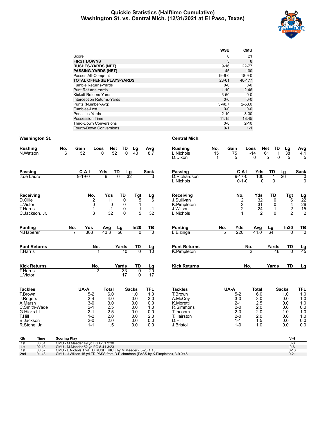## **Quickie Statistics (Halftime Cumulative) Washington St. vs. Central Mich. (12/31/2021 at El Paso, Texas)**



|                                   | <b>WSU</b> | <b>CMU</b>   |
|-----------------------------------|------------|--------------|
| Score                             | 0          | 21           |
| <b>FIRST DOWNS</b>                | 3          | 8            |
| <b>RUSHES-YARDS (NET)</b>         | $9 - 16$   | 22-77        |
| <b>PASSING-YARDS (NET)</b>        | 45         | 100          |
| Passes Att-Comp-Int               | $19-9-0$   | $18 - 9 - 0$ |
| <b>TOTAL OFFENSE PLAYS-YARDS</b>  | 28-61      | 40-177       |
| Fumble Returns-Yards              | $0 - 0$    | $0 - 0$      |
| <b>Punt Returns-Yards</b>         | $1 - 10$   | $2 - 46$     |
| Kickoff Returns-Yards             | $3 - 50$   | $0 - 0$      |
| <b>Interception Returns-Yards</b> | $0 - 0$    | $0 - 0$      |
| Punts (Number-Avg)                | $3 - 48.7$ | $2 - 53.0$   |
| Fumbles-Lost                      | $0 - 0$    | $0 - 0$      |
| Penalties-Yards                   | $2 - 10$   | $3 - 30$     |
| Possession Time                   | 11:15      | 18:45        |
| <b>Third-Down Conversions</b>     | $0 - 8$    | $2 - 10$     |
| Fourth-Down Conversions           | $0 - 1$    | $1 - 1$      |

| <b>Rushing</b>              | No. | Gain                  | Loss                              | <b>Net</b>             | TD<br><u>Lg</u>      |                            | <b>Rushing</b>            | No.     | Gain |                             | Loss            | <b>Net</b><br>TD    | $\mathsf{L}\mathsf{g}$ | Avg                                    |
|-----------------------------|-----|-----------------------|-----------------------------------|------------------------|----------------------|----------------------------|---------------------------|---------|------|-----------------------------|-----------------|---------------------|------------------------|----------------------------------------|
| N.Watson                    | 6   | 52                    | $\overline{0}$                    | 52                     | $\overline{0}$<br>40 | $\frac{\text{Avg}}{8.7}$   | L.Nichols<br>D.Dixon      | 15<br>1 |      | 75<br>5                     | $-14$<br>0      | 61<br>5<br>$\Omega$ | 38<br>5                | 4.1<br>5                               |
| Passing                     |     | $C-A-I$               | Yds                               | TD                     | $\frac{Lg}{32}$      | Sack                       | <b>Passing</b>            |         |      | $C-A-I$                     | Yds             | TD                  | Lg                     | <b>Sack</b>                            |
| J.de Laura                  |     | $9 - 19 - 0$          | g                                 | $\overline{0}$         |                      | 3                          | D.Richardson<br>L.Nichols |         |      | $9 - 17 - 0$<br>$0 - 1 - 0$ | 100<br>$\Omega$ | 0                   | 26                     | 0<br>0                                 |
| Receiving                   |     | No.                   | Yds                               | TD                     | Tgt                  | $\frac{\text{Lg}}{6}$      | Receiving                 |         |      | No.                         | Yds             | <b>TD</b>           | Tgt                    |                                        |
| D.Ollie                     |     |                       | $\overline{2}$<br>$\overline{11}$ |                        | 0                    | 5                          | J.Sullivan                |         |      | $\overline{2}$              | 32              | 0                   | 6                      | $\frac{\text{Lg}}{22}$ $\frac{26}{15}$ |
| L.Victor<br><b>T.Harris</b> |     |                       | 0<br>1<br>$-1$                    | 0                      | 0                    | 1<br>1<br>$-1$             | K.Pimpleton<br>J.Wilson   |         |      | $\frac{3}{2}$               | 31<br>24        | 0<br>$\mathbf{1}$   | 4                      |                                        |
| C. Jackson, Jr.             |     |                       | 3<br>32                           |                        | 0<br>$\Omega$        | 5<br>32                    | L.Nichols                 |         |      |                             | $\overline{2}$  | 0                   | $\frac{2}{2}$          | $\overline{2}$                         |
|                             |     |                       |                                   |                        |                      |                            |                           |         |      |                             |                 |                     |                        |                                        |
| <b>Punting</b>              | No. | Yds                   | Avg                               | $\frac{\text{Lg}}{56}$ | In20                 | TВ                         | <b>Punting</b>            | No.     |      | Yds                         | Avg             | Lg                  | In20                   | $rac{TB}{0}$                           |
| N.Haberer                   |     | 303<br>$\overline{7}$ | $43.\overline{3}$                 |                        |                      | $\overline{0}$<br>$\Omega$ | L.Elzinga                 |         | 5    | 220                         | 44.0            | 64                  | <sup>0</sup>           |                                        |
| <b>Punt Returns</b>         |     |                       | No.                               | Yards                  | TD                   | $\frac{\text{Lg}}{10}$     | <b>Punt Returns</b>       |         |      |                             | No.             | Yards               | TD                     | $\frac{\text{Lg}}{45}$                 |
| <b>T.Harris</b>             |     |                       | 1                                 |                        | $\overline{0}$<br>10 |                            | K.Pimpleton               |         |      |                             | $\overline{2}$  | 46                  | $\overline{0}$         |                                        |
| <b>Kick Returns</b>         |     |                       | No.                               | Yards                  | TD                   | $\frac{\text{Lg}}{20}$     | <b>Kick Returns</b>       |         |      | No.                         |                 | Yards               | <b>TD</b>              | $\overline{Lg}$                        |
| T.Harris<br>L.Victor        |     |                       | $\overline{2}$<br>1               |                        | 33<br>0<br>17        | 17<br>$\Omega$             |                           |         |      |                             |                 |                     |                        |                                        |
| <b>Tackles</b>              |     | UA-A                  | <b>Total</b>                      |                        | <b>Sacks</b>         | <b>TFL</b>                 | <b>Tackles</b>            |         | UA-A |                             | <b>Total</b>    |                     | <b>Sacks</b>           | TFL                                    |
| T.Brown                     |     | $5 - 2$               | 6.0                               |                        | 1.0                  | $\overline{1.0}$           | T.Brown                   |         |      | $5 - 2$                     | 6.0             |                     | 1.0                    | $\overline{10}$                        |
| J.Rogers                    |     | $2 - 4$               | 4.0                               |                        | 0.0                  | 3.0                        | A.McCov                   |         |      | $3-0$                       | 3.0             |                     | 0.0                    | 1.0                                    |
| A.Marsh                     |     | $3-0$                 | 3.0                               |                        | 0.0                  | 0.0                        | K.Moretti                 |         |      | $2 - 1$                     | 2.5             |                     | 0.0                    | 1.0                                    |
| C.Smith-Wade<br>G.Hicks III |     | $2 - 1$<br>$2 - 1$    | 2.5<br>2.5                        |                        | 0.0<br>0.0           | 1.0<br>0.0                 | R.Simmons<br>T.Incoom     |         |      | $2 - 0$<br>$2 - 0$          | 2.0<br>2.0      |                     | 0.0<br>1.0             | 0.0<br>1.0                             |
| T.Hill                      |     | $1 - 2$               | 2.0                               |                        | 0.0                  | 2.0                        | T.Hairston                |         |      | $2 - 0$                     | 2.0             |                     | 0.0                    | 1.0                                    |
| <b>B.Jackson</b>            |     | $2 - 0$               | 2.0                               |                        | 0.0                  | 0.0                        | D.Hill                    |         |      | $1 - 1$                     | 1.5             |                     | 0.0                    | 0.0                                    |
| R.Stone, Jr.                |     | $1 - 1$               | 1.5                               |                        | 0.0                  | 0.0                        | J.Bristol                 |         |      | $1 - 0$                     | 1.0             |                     | 0.0                    | 0.0                                    |
|                             |     |                       |                                   |                        |                      |                            |                           |         |      |                             |                 |                     |                        |                                        |

| Passing                                            |     | C-A-I                                             | Yds                              | TD                      | Lg                      | <b>Sack</b>                                   |
|----------------------------------------------------|-----|---------------------------------------------------|----------------------------------|-------------------------|-------------------------|-----------------------------------------------|
| D.Richardson<br>L.Nichols                          |     | $9 - 17 - 0$<br>$0 - 1 - 0$                       | 100<br>0                         | 1<br>0                  | 26                      | 0<br>0                                        |
| Receiving                                          |     | No.                                               | Yds                              | TD                      | <b>Tgt</b>              |                                               |
| J.Sullivan<br>K.Pimpleton<br>J.Wilson<br>L.Nichols |     | $\begin{array}{c}\n2 \\ 3 \\ 2 \\ 1\n\end{array}$ | 32<br>31<br>24<br>$\mathfrak{p}$ | 0<br>0<br>1<br>$\Omega$ | 6<br>4<br>$\frac{2}{2}$ | $\frac{Lg}{22}$<br>26<br>15<br>$\overline{2}$ |
| Punting                                            | No. | Yds                                               | Avg                              | Lg                      | In20                    | ΤВ                                            |
| L.Elzinga                                          | 5   | 220                                               | 44.0                             | 64                      | 0                       | 0                                             |
| Punt Returns                                       |     | No.                                               |                                  | Yards                   | TD                      | $\frac{\text{Lg}}{45}$                        |
| K.Pimpleton                                        |     |                                                   | $\overline{2}$                   | 46                      | 0                       |                                               |
| Kick Returns                                       |     | No.                                               |                                  | Yards                   | TD                      | Lg                                            |

| Tackles    | UA-A    | Total | <b>Sacks</b> | TFL |
|------------|---------|-------|--------------|-----|
| T.Brown    | $5-2$   | 6.0   | 1.0          | 1.0 |
| A.McCoy    | $3-0$   | 3.0   | 0.0          | 1.0 |
| K.Moretti  | $2 - 1$ | 2.5   | 0.0          | 1.0 |
| R.Simmons  | $2 - 0$ | 2.0   | 0.0          | 0.0 |
| T.Incoom   | $2 - 0$ | 2.0   | 1.0          | 1.0 |
| T.Hairston | $2 - 0$ | 2.0   | 0.0          | 1.0 |
| D.Hill     | $1 - 1$ | 1.5   | 0.0          | 0.0 |
| J.Bristol  | 1-0     | 1.0   | 0.0          | 0.0 |

| Qtr             | Time  | <b>Scoring Play</b>                                                               | V-H      |
|-----------------|-------|-----------------------------------------------------------------------------------|----------|
| 1st             | 06:51 | CMU - M.Meeder 49 vd FG 6-51 2:30                                                 |          |
| 1st             | 02:18 | CMU - M.Meeder 52 vd FG 8-41 3:23                                                 | $0 - 6$  |
| 1st             | 00:57 | CMU - L. Nichols 1 vd TD RUSH (KICK by M. Meeder). 3-23 1:15                      | $0 - 13$ |
| 2 <sub>nd</sub> | 01:48 | CMU - J. Wilson 15 yd TD PASS from D. Richardson (PASS by K. Pimpleton), 3-9 0:46 | $0 - 21$ |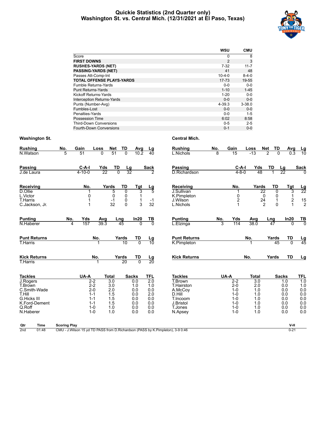#### **Quickie Statistics (2nd Quarter only) Washington St. vs. Central Mich. (12/31/2021 at El Paso, Texas)**



|                                   | <b>WSU</b>   | <b>CMU</b>  |
|-----------------------------------|--------------|-------------|
| Score                             | 0            | 8           |
| <b>FIRST DOWNS</b>                | 2            | 3           |
| <b>RUSHES-YARDS (NET)</b>         | $7-32$       | $11 - 7$    |
| <b>PASSING-YARDS (NET)</b>        | 41           | 48          |
| Passes Att-Comp-Int               | $10 - 4 - 0$ | $8 - 4 - 0$ |
| <b>TOTAL OFFENSE PLAYS-YARDS</b>  | 17-73        | 19-55       |
| <b>Fumble Returns-Yards</b>       | $0 - 0$      | $0-0$       |
| <b>Punt Returns-Yards</b>         | $1 - 10$     | $1 - 45$    |
| <b>Kickoff Returns-Yards</b>      | $1 - 20$     | $0 - 0$     |
| <b>Interception Returns-Yards</b> | $0 - 0$      | $0 - 0$     |
| Punts (Number-Avg)                | 4-39.3       | $3 - 38.0$  |
| Fumbles-Lost                      | $0 - 0$      | $0 - 0$     |
| Penalties-Yards                   | $0 - 0$      | $1 - 5$     |
| Possession Time                   | 6:02         | 8:58        |
| <b>Third-Down Conversions</b>     | $0 - 5$      | $2 - 5$     |
| <b>Fourth-Down Conversions</b>    | $0 - 1$      | $0 - 0$     |

| <b>Rushing</b><br>N.Watson                                                                                                    | No.<br>5 | Gain<br>51              | Loss<br>$\Omega$                                                                     | Net<br>51                                                                         | TD<br>$\Omega$                | Avg<br>10.2                                                          | Lg<br>$\overline{40}$                                                           | <b>Rushing</b><br>L.Nichols                                                                                        | No.<br>8 | Gain<br>$\overline{15}$                                                                    | Loss<br>$-13$                                                                     | TD<br>Net<br>$\overline{2}$<br>$\Omega$                                       | Avg<br>0.3                                                           | $\frac{Lg}{10}$                                                |
|-------------------------------------------------------------------------------------------------------------------------------|----------|-------------------------|--------------------------------------------------------------------------------------|-----------------------------------------------------------------------------------|-------------------------------|----------------------------------------------------------------------|---------------------------------------------------------------------------------|--------------------------------------------------------------------------------------------------------------------|----------|--------------------------------------------------------------------------------------------|-----------------------------------------------------------------------------------|-------------------------------------------------------------------------------|----------------------------------------------------------------------|----------------------------------------------------------------|
| Passing<br>J.de Laura                                                                                                         |          | $C-A-I$<br>$4 - 10 - 0$ | Yds<br>$\overline{22}$                                                               | TD<br>$\overline{0}$                                                              | $\frac{Lg}{32}$               |                                                                      | Sack<br>$\overline{2}$                                                          | Passing<br>D.Richardson                                                                                            |          | $C-A-I$<br>$4 - 8 - 0$                                                                     | Yds<br>48                                                                         | TD                                                                            | <u>Lg</u><br>$\overline{22}$                                         | <b>Sack</b><br>$\Omega$                                        |
| Receiving<br>$\overline{D}$ . Ollie<br>L.Victor<br><b>T.Harris</b><br>C.Jackson, Jr.                                          |          | No.<br>0<br>1           |                                                                                      | Yards<br>5<br>0<br>$-1$<br>32                                                     | TD<br>0<br>0<br>0<br>$\Omega$ | Tgt<br>3<br>1<br>1<br>3                                              | <u>Lg</u><br>$-1$<br>32                                                         | Receiving<br>J.Sullivan<br>K.Pimpleton<br>J.Wilson<br>L.Nichols                                                    |          | No.<br>0<br>$\overline{\mathbf{c}}$                                                        | Yards                                                                             | TD<br>22<br>$\overline{0}$<br>0<br>0<br>24<br>1<br>$\mathfrak{p}$<br>$\Omega$ | Tgt<br>3<br>1<br>$\frac{2}{1}$                                       | $\frac{Lg}{22}$<br>$\begin{array}{c} 15 \\ 2 \end{array}$      |
| <b>Punting</b><br>N.Haberer                                                                                                   | No.<br>4 | Yds<br>157              | Avg<br>39.3                                                                          |                                                                                   | Lng<br>45                     | In20<br>$\Omega$                                                     | TВ<br>$\overline{0}$                                                            | <b>Punting</b><br>L.Elzinga                                                                                        | No.<br>3 | Yds<br>114                                                                                 | Avg<br>38.0                                                                       | Lng<br>47                                                                     | In20<br>$\Omega$                                                     | $rac{TB}{0}$                                                   |
| <b>Punt Returns</b><br>T.Harris                                                                                               |          |                         | No.                                                                                  |                                                                                   | Yards<br>10                   | TD<br>$\overline{0}$                                                 | $\frac{\text{Lg}}{10}$                                                          | <b>Punt Returns</b><br>K.Pimpleton                                                                                 |          |                                                                                            | No.                                                                               | Yards<br>45                                                                   | TD<br>$\overline{0}$                                                 | $\frac{\text{Lg}}{45}$                                         |
| <b>Kick Returns</b><br><b>T.Harris</b>                                                                                        |          |                         | No.                                                                                  |                                                                                   | Yards<br>20                   | TD<br>$\overline{0}$                                                 | <u>Lg</u><br>$\overline{20}$                                                    | <b>Kick Returns</b>                                                                                                |          |                                                                                            | No.                                                                               | Yards                                                                         | <b>TD</b>                                                            | Lg                                                             |
| <b>Tackles</b><br>J.Rogers<br>T.Brown<br>C.Smith-Wade<br>T.Hill<br><b>G.Hicks III</b><br>K.Ford-Dement<br>Q.Roff<br>N.Haberer |          | UA-A                    | $2 - 2$<br>$2 - 2$<br>$2 - 0$<br>$1 - 1$<br>$1 - 1$<br>$1 - 1$<br>$1 - 0$<br>$1 - 0$ | <b>Total</b><br>$\overline{3.0}$<br>3.0<br>2.0<br>1.5<br>1.5<br>1.5<br>1.0<br>1.0 |                               | <b>Sacks</b><br>0.0<br>1.0<br>0.0<br>0.0<br>0.0<br>0.0<br>0.0<br>0.0 | <b>TFL</b><br>$\overline{2.0}$<br>1.0<br>0.0<br>2.0<br>0.0<br>0.0<br>0.0<br>0.0 | <b>Tackles</b><br>T.Brown<br><b>T.Hairston</b><br>A.McCoy<br>D.Hill<br>T.Incoom<br>J.Bristol<br>T.Jones<br>N.Apsey |          | UA-A<br>$2-2$<br>$2 - 0$<br>$1 - 0$<br>$1 - 0$<br>$1 - 0$<br>$1 - 0$<br>$1 - 0$<br>$1 - 0$ | <b>Total</b><br>$\overline{3.0}$<br>2.0<br>1.0<br>1.0<br>1.0<br>1.0<br>1.0<br>1.0 |                                                                               | <b>Sacks</b><br>1.0<br>0.0<br>0.0<br>0.0<br>0.0<br>0.0<br>0.0<br>0.0 | TFL<br>10<br>1.0<br>0.0<br>0.0<br>0.0<br>0.0<br>$0.0\,$<br>0.0 |

| Qtr             | Time  | <b>Scoring Play</b>                                                               | V-H      |
|-----------------|-------|-----------------------------------------------------------------------------------|----------|
| 2 <sub>nd</sub> | 01:48 | CMU - J. Wilson 15 yd TD PASS from D. Richardson (PASS by K. Pimpleton), 3-9 0:46 | $0 - 21$ |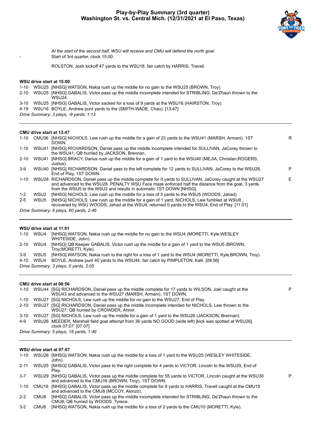

P

P

*At the start of the second half, WSU will receive and CMU will defend the north goal.* Start of 3rd quarter, clock 15:00.

ROLSTON, Josh kickoff 47 yards to the WSU18, fair catch by HARRIS, Travell.

#### **WSU drive start at 15:00**

- 1-10 WSU25 [NHSG] WATSON, Nakia rush up the middle for no gain to the WSU25 (BROWN, Troy).
- 2-10 WSU25 [NHSG] GABALIS, Victor pass up the middle incomplete intended for STRIBLING, De'Zhaun thrown to the WSU24.
- 3-10 WSU25 [NHSG] GABALIS, Victor sacked for a loss of 9 yards at the WSU16 (HAIRSTON, Troy).
- 4-19 WSU16 BOYLE, Andrew punt yards to the (SMITH-WADE, Chau). [13:47]
- *Drive Summary: 3 plays, -9 yards, 1:13*

#### **CMU drive start at 13:47**

| 1-10     |                  | CMU36 [NHSG] NICHOLS, Lew rush up the middle for a gain of 23 yards to the WSU41 (MARSH, Armani), 1ST<br>DOWN.                                                                                                                                                                         | R  |
|----------|------------------|----------------------------------------------------------------------------------------------------------------------------------------------------------------------------------------------------------------------------------------------------------------------------------------|----|
| $1 - 10$ |                  | WSU41 [NHSG] RICHARDSON, Daniel pass up the middle incomplete intended for SULLIVAN, JaCorey thrown to<br>the WSU41; QB hurried by JACKSON, Brennan.                                                                                                                                   |    |
| $2 - 10$ | WSU41            | [NHSG] BRACY, Darius rush up the middle for a gain of 1 yard to the WSU40 (MEJIA, Christian; ROGERS,<br>Justus).                                                                                                                                                                       |    |
| $3-9$    |                  | WSU40 [NHSG] RICHARDSON, Daniel pass to the left complete for 12 yards to SULLIVAN, JaCorey to the WSU28,<br>End of Play, 1ST DOWN.                                                                                                                                                    | P  |
| $1 - 10$ |                  | WSU28 RICHARDSON, Daniel pass up the middle complete for 0 yards to SULLIVAN, JaCorey caught at the WSU27<br>and advanced to the WSU28. PENALTY WSU Face mask enforced half the distance from the goal, 3 yards<br>from the WSU5 to the WSU2 and results in automatic 1ST DOWN [NHSG]. | F. |
| $1 - 2$  | WSU <sub>2</sub> | [NHSG] NICHOLS, Lew rush up the middle for a loss of 3 yards to the WSU5 (WOODS, Jahad).                                                                                                                                                                                               |    |
| $2 - 5$  | WSU <sub>5</sub> | [NHSG] NICHOLS, Lew rush up the middle for a gain of 1 yard, NICHOLS, Lew fumbled at WSU8,<br>recovered by WSU WOODS, Jahad at the WSU4, returned 0 yards to the WSU4, End of Play. [11:01]                                                                                            |    |
|          |                  | Drive Summary: 6 plays, 60 yards, 2:46                                                                                                                                                                                                                                                 |    |
|          |                  |                                                                                                                                                                                                                                                                                        |    |

#### **WSU drive start at 11:01**

| 1-10     | WSU4                                  | [NHSG] WATSON, Nakia rush up the middle for no gain to the WSU4 (MORETTI, Kyle;WESLEY<br>WHITESIDE, John).                |  |  |  |  |  |  |
|----------|---------------------------------------|---------------------------------------------------------------------------------------------------------------------------|--|--|--|--|--|--|
| $2 - 10$ |                                       | WSU4 [NHSG] QB Keeper GABALIS, Victor rush up the middle for a gain of 1 yard to the WSU5 (BROWN,<br>Trov;MORETTI, Kyle). |  |  |  |  |  |  |
| 3-9      |                                       | WSU5 [NHSG] WATSON, Nakia rush to the right for a loss of 1 yard to the WSU4 (MORETTI, Kyle:BROWN, Troy).                 |  |  |  |  |  |  |
| 4-10     | WSU4                                  | BOYLE, Andrew punt 40 yards to the WSU44, fair catch by PIMPLETON, Kalil. [08:56]                                         |  |  |  |  |  |  |
|          | Drive Summary: 3 plays, 0 yards, 2:05 |                                                                                                                           |  |  |  |  |  |  |

#### **CMU drive start at 08:56**

|          | 1-10 WSU44 [SG] RICHARDSON, Daniel pass up the middle complete for 17 yards to WILSON, Joel caught at the<br>WSU43 and advanced to the WSU27 (MARSH, Armani), 1ST DOWN. |
|----------|-------------------------------------------------------------------------------------------------------------------------------------------------------------------------|
| 1-10     | WSU27 [SG] NICHOLS, Lew rush up the middle for no gain to the WSU27, End of Play.                                                                                       |
| $2 - 10$ | WSU27 [SG] RICHARDSON, Daniel pass up the middle incomplete intended for NICHOLS, Lew thrown to the<br>WSU27; QB hurried by CROWDER, Ahmir.                             |
| $3 - 10$ | WSU27 [SG] NICHOLS, Lew rush up the middle for a gain of 1 yard to the WSU26 (JACKSON, Brennan).                                                                        |
| $4 - 9$  | WSU26 MEEDER, Marshall field goal attempt from 36 yards NO GOOD (wide left) [kick was spotted at WSU26],<br>clock 07:07. [07:07]                                        |
|          | Drive Summary: 5 plays, 18 yards, 1:49                                                                                                                                  |

#### **WSU drive start at 07:07**

| $1 - 10$ | WSU26 [NHSG] WATSON, Nakia rush up the middle for a loss of 1 yard to the WSU25 (WESLEY WHITESIDE,<br>John).                                                       |
|----------|--------------------------------------------------------------------------------------------------------------------------------------------------------------------|
| $2 - 11$ | WSU25 [NHSG] GABALIS, Victor pass to the right complete for 4 yards to VICTOR, Lincoln to the WSU29, End of<br>Plav.                                               |
| $3 - 7$  | WSU29 [NHSG] GABALIS, Victor pass up the middle complete for 55 yards to VICTOR, Lincoln caught at the WSU30<br>and advanced to the CMU16 (BROWN, Troy), 1ST DOWN. |

- 1-10 CMU16 [NHSG] GABALIS, Victor pass up the middle complete for 8 yards to HARRIS, Travell caught at the CMU15 and advanced to the CMU8 (MCCOY, Alonzo).
- 2-2 CMU8 [NHSG] GABALIS, Victor pass up the middle incomplete intended for STRIBLING, De'Zhaun thrown to the CMU8; QB hurried by WOODS, Tyrece.
- 3-2 CMU8 [NHSG] WATSON, Nakia rush up the middle for a loss of 2 yards to the CMU10 (MORETTI, Kyle).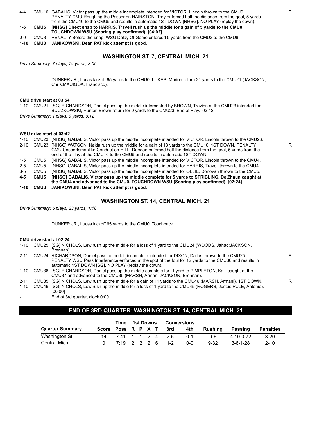| $4 - 4$ |      | CMU10 GABALIS, Victor pass up the middle incomplete intended for VICTOR, Lincoln thrown to the CMU9. |
|---------|------|------------------------------------------------------------------------------------------------------|
|         |      | PENALTY CMU Roughing the Passer on HAIRSTON, Troy enforced half the distance from the goal, 5 yards  |
|         |      | from the CMU10 to the CMU5 and results in automatic 1ST DOWN [NHSG]. NO PLAY (replay the down).      |
| $1-5$   | CMU5 | [NHSG] Direct snap to HARRIS, Travell rush up the middle for a gain of 5 yards to the CMU0,          |
|         |      | TOUCHDOWN WSU (Scoring play confirmed). [04:02]                                                      |
|         |      | DENNITYD (U NAUDI OLO (IE I (U ONIJA JI ONIJA                                                        |

0-0 CMU3 PENALTY Before the snap, WSU Delay Of Game enforced 5 yards from the CMU3 to the CMU8.

**1-10 CMU8 JANIKOWSKI, Dean PAT kick attempt is good.**

# **WASHINGTON ST. 7, CENTRAL MICH. 21**

*Drive Summary: 7 plays, 74 yards, 3:05*

DUNKER JR., Lucas kickoff 65 yards to the CMU0, LUKES, Marion return 21 yards to the CMU21 (JACKSON, Chris;MAUIGOA, Francisco).

#### **CMU drive start at 03:54**

1-10 CMU21 [SG] RICHARDSON, Daniel pass up the middle intercepted by BROWN, Travion at the CMU23 intended for BUCZKOWSKI, Hunter. Brown return for 0 yards to the CMU23, End of Play. [03:42] *Drive Summary: 1 plays, 0 yards, 0:12*

#### **WSU drive start at 03:42**

| $1 - 10$ |                  | CMU23 [NHSG] GABALIS, Victor pass up the middle incomplete intended for VICTOR, Lincoln thrown to the CMU23. |
|----------|------------------|--------------------------------------------------------------------------------------------------------------|
| $2 - 10$ |                  | CMU23 [NHSG] WATSON, Nakia rush up the middle for a gain of 13 yards to the CMU10, 1ST DOWN, PENALTY         |
|          |                  | CMU Unsportsmanlike Conduct on HILL, Daedae enforced half the distance from the goal, 5 yards from the       |
|          |                  | end of the play at the CMU10 to the CMU5 and results in automatic 1ST DOWN.                                  |
| $1-5$    | CMU5             | [NHSG] GABALIS, Victor pass up the middle incomplete intended for VICTOR, Lincoln thrown to the CMU4.        |
| $2 - 5$  | CMU <sub>5</sub> | [NHSG] GABALIS, Victor pass up the middle incomplete intended for HARRIS, Travell thrown to the CMU4.        |
| $3-5$    | CMU <sub>5</sub> | [NHSG] GABALIS, Victor pass up the middle incomplete intended for OLLIE, Donovan thrown to the CMU5.         |
| $4 - 5$  | CMU5             | [NHSG] GABALIS, Victor pass up the middle complete for 5 yards to STRIBLING, De'Zhaun caught at              |
|          |                  | the CMU4 and advanced to the CMU0, TOUCHDOWN WSU (Scoring play confirmed). [02:24]                           |
| 1-10     | CMU3             | JANIKOWSKI, Dean PAT kick attempt is good.                                                                   |

#### **WASHINGTON ST. 14, CENTRAL MICH. 21**

*Drive Summary: 6 plays, 23 yards, 1:18*

DUNKER JR., Lucas kickoff 65 yards to the CMU0, Touchback.

#### **CMU drive start at 02:24**

| 1-10     | CMU25 [SG] NICHOLS, Lew rush up the middle for a loss of 1 yard to the CMU24 (WOODS, Jahad; JACKSON,<br>Brennan).                                                                                                                                                      |    |
|----------|------------------------------------------------------------------------------------------------------------------------------------------------------------------------------------------------------------------------------------------------------------------------|----|
| $2 - 11$ | CMU24 RICHARDSON, Daniel pass to the left incomplete intended for DIXON, Dallas thrown to the CMU25.<br>PENALTY WSU Pass Interference enforced at the spot of the foul for 12 yards to the CMU36 and results in<br>automatic 1ST DOWN [SG]. NO PLAY (replay the down). | F. |
| 1-10     | CMU36 [SG] RICHARDSON, Daniel pass up the middle complete for -1 yard to PIMPLETON, Kalil caught at the<br>CMU37 and advanced to the CMU35 (MARSH, Armani; JACKSON, Brennan).                                                                                          |    |
| $2 - 11$ | CMU35 [SG] NICHOLS, Lew rush up the middle for a gain of 11 yards to the CMU46 (MARSH, Armani), 1ST DOWN.                                                                                                                                                              | R  |
| $1 - 10$ | CMU46 [SG] NICHOLS, Lew rush up the middle for a loss of 1 yard to the CMU45 (ROGERS, Justus; PULE, Antonio).<br>[00:00]                                                                                                                                               |    |

End of 3rd quarter, clock 0:00.

# **END OF 3RD QUARTER: WASHINGTON ST. 14, CENTRAL MICH. 21**

|                        | Time | 1st Downs        |  |  | Conversions |                        |     |          |                  |                  |
|------------------------|------|------------------|--|--|-------------|------------------------|-----|----------|------------------|------------------|
| <b>Quarter Summary</b> |      |                  |  |  |             | Score Poss R P X T 3rd | 4th | Rushina  | Passing          | <b>Penalties</b> |
| Washington St.         | 14   | 7:41 1 1 2 4 2-5 |  |  |             |                        | በ-1 | 9-6      | 4-10-0-72        | $3-20$           |
| Central Mich.          |      | 7:19 2 2 2 6 1-2 |  |  |             |                        | 0-0 | $9 - 32$ | $3 - 6 - 1 - 28$ | $2 - 10$         |

R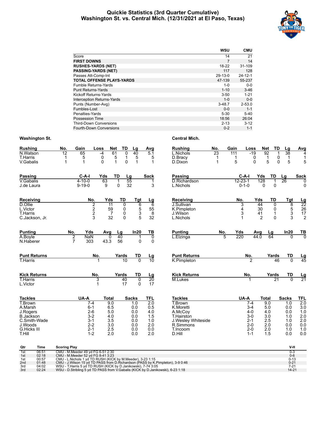#### **Quickie Statistics (3rd Quarter Cumulative) Washington St. vs. Central Mich. (12/31/2021 at El Paso, Texas)**



|                                   | WSU        | <b>CMU</b>    |
|-----------------------------------|------------|---------------|
| Score                             | 14         | 21            |
| <b>FIRST DOWNS</b>                | 7          | 14            |
| <b>RUSHES-YARDS (NET)</b>         | 18-22      | 31-109        |
| <b>PASSING-YARDS (NET)</b>        | 117        | 128           |
| Passes Att-Comp-Int               | $29-13-0$  | $24 - 12 - 1$ |
| <b>TOTAL OFFENSE PLAYS-YARDS</b>  | 47-139     | 55-237        |
| Fumble Returns-Yards              | $1 - 0$    | $0-0$         |
| <b>Punt Returns-Yards</b>         | $1 - 10$   | $3 - 46$      |
| Kickoff Returns-Yards             | $3 - 50$   | $1 - 21$      |
| <b>Interception Returns-Yards</b> | $1 - 0$    | $0 - 0$       |
| Punts (Number-Avg)                | $3 - 48.7$ | $2 - 53.0$    |
| Fumbles-Lost                      | $0 - 0$    | $1 - 1$       |
| Penalties-Yards                   | $5 - 30$   | $5 - 40$      |
| <b>Possession Time</b>            | 18:56      | 26:04         |
| <b>Third-Down Conversions</b>     | $2 - 13$   | $3 - 12$      |
| Fourth-Down Conversions           | $0 - 2$    | $1 - 1$       |

| <b>Rushing</b>                                           | No.                 | Gain                                                                   | Net<br>Loss                      | TD                                 | Lg                         | Avg                     | Rushing                                                                                                                                      | No.                     | Gain                         | Net<br>Loss                               | TD                                        | Lg                                      | Avg                        |
|----------------------------------------------------------|---------------------|------------------------------------------------------------------------|----------------------------------|------------------------------------|----------------------------|-------------------------|----------------------------------------------------------------------------------------------------------------------------------------------|-------------------------|------------------------------|-------------------------------------------|-------------------------------------------|-----------------------------------------|----------------------------|
| N.Watson<br><b>T.Harris</b><br>V.Gabalis                 | 12<br>1<br>1        | 65<br>5<br>$\mathbf 1$                                                 | 61<br>-4<br>0<br>$\Omega$        | 0<br>5<br>1<br>0<br>1              | 40<br>5<br>$\mathbf{1}$    | 5.1<br>5<br>$\mathbf 1$ | L.Nichols<br>D.Bracy<br>D.Dixon                                                                                                              | 23<br>1<br>$\mathbf{1}$ | 111<br>$\mathbf 1$<br>5      | $-19$<br>$\overline{92}$<br>0<br>$\Omega$ | $\mathbf 1$<br>0<br>$\Omega$<br>5         | 38<br>$\mathbf 1$<br>5                  | 4<br>1<br>5                |
| <b>Passing</b>                                           |                     | $C-A-I$                                                                | Yds                              | <b>TD</b>                          | Lg                         | <b>Sack</b>             | Passing                                                                                                                                      |                         | C-A-I                        | Yds                                       | TD                                        | Lg                                      | <b>Sack</b>                |
| V.Gabalis<br>J.de Laura                                  |                     | $4 - 10 - 0$<br>$9 - 19 - 0$                                           | 63<br>9                          | $\Omega$                           | 55<br>32                   | 3                       | D.Richardson<br>L.Nichols                                                                                                                    |                         | $12 - 23 - 1$<br>$0 - 1 - 0$ | 128<br>$\mathbf{0}$                       | 0                                         | 26                                      | $\Omega$<br>0              |
| Receiving                                                |                     | No.                                                                    | Yds                              | TD                                 | Tgt                        | <u>Lg</u>               | <b>Receiving</b>                                                                                                                             |                         | No.                          | Yds                                       | TD                                        | Tgt                                     | $\frac{\text{Lg}}{22}$     |
| D.Ollie<br>L.Victor<br><b>T.Harris</b><br>C.Jackson, Jr. |                     | 2<br>$\overline{\mathbf{c}}$<br>$\overline{\mathbf{c}}$<br>3           | 11<br>59<br>$\overline{7}$<br>32 | $\Omega$<br>0<br>0<br>$\mathbf{0}$ | 6<br>5<br>3<br>5           | 6<br>55<br>8<br>32      | J.Sullivan<br>K.Pimpleton<br>J.Wilson<br>L.Nichols                                                                                           |                         | 3<br>4<br>3<br>1             | 44<br>30<br>41<br>$\overline{2}$          | $\Omega$<br>0<br>$\mathbf{1}$<br>$\Omega$ | 8<br>$\,$ 5 $\,$<br>$\overline{3}$<br>3 | 26<br>17<br>$\overline{2}$ |
| <b>Punting</b>                                           | No.                 | Yds                                                                    | Avg                              | Lg                                 | In20                       | TВ                      | <b>Punting</b>                                                                                                                               | No.                     | Yds                          | Avg                                       | Lg                                        | In20                                    | <u>TB</u>                  |
| A.Boyle<br>N.Haberer                                     | $\overline{2}$<br>7 | <b>NaN</b><br>303                                                      | 0<br>43.3                        | 40<br>56                           | 0                          | 0<br>0                  | L.Elzinga                                                                                                                                    | 5                       | 220                          | 44.0                                      | 64                                        | $\Omega$                                | $\overline{0}$             |
| <b>Punt Returns</b>                                      |                     | No.                                                                    |                                  | Yards                              | TD                         | <u>Lg</u>               | <b>Punt Returns</b>                                                                                                                          |                         | No.                          |                                           | Yards                                     | <b>TD</b>                               | $\frac{\text{Lg}}{45}$     |
| <b>T.Harris</b>                                          |                     |                                                                        |                                  | 10                                 | $\overline{0}$             | $\overline{10}$         | K.Pimpleton                                                                                                                                  |                         |                              | 2                                         | 46                                        | $\overline{0}$                          |                            |
| <b>Kick Returns</b>                                      |                     | No.                                                                    |                                  | Yards                              | TD                         | <u>Lg</u>               | <b>Kick Returns</b>                                                                                                                          |                         | No.                          |                                           | Yards                                     | TD                                      | $\frac{\text{Lg}}{21}$     |
| T.Harris<br>L.Victor                                     |                     | 3<br>1                                                                 |                                  | 40<br>17                           | $\overline{0}$<br>$\Omega$ | 20<br>17                | M.Lukes                                                                                                                                      |                         |                              |                                           | 21                                        | $\overline{0}$                          |                            |
| <b>Tackles</b>                                           |                     | UA-A                                                                   | <b>Total</b>                     |                                    | Sacks                      | <b>TFL</b>              | <b>Tackles</b>                                                                                                                               |                         | UA-A                         | <b>Total</b>                              |                                           | <b>Sacks</b>                            | <b>TFL</b>                 |
| T.Brown<br>A.Marsh                                       |                     | $7-4$<br>$6 - 1$                                                       | 9.0<br>6.5                       |                                    | 1.0<br>0.0                 | $\overline{2.0}$<br>0.5 | T.Brown<br>K.Moretti                                                                                                                         |                         |                              | $7-4$<br>$3 - 4$                          | 9.0<br>5.0                                | 1.0<br>0.0                              | 2.0<br>3.0                 |
| J.Rogers                                                 |                     | $2 - 6$                                                                | 5.0                              |                                    | 0.0                        | 4.0                     | A.McCov                                                                                                                                      |                         |                              | $4 - 0$                                   | 4.0                                       | 0.0                                     | 1.0                        |
| <b>B.Jackson</b>                                         |                     | $3-2$                                                                  | 4.0                              |                                    | 0.0                        | 1.5                     | T.Hairston                                                                                                                                   |                         |                              | 3-0                                       | 3.0                                       | 1.0                                     | 2.0                        |
| C.Smith-Wade<br>J.Woods                                  |                     | 3-1<br>$2 - 2$                                                         | 3.5<br>3.0                       |                                    | 0.0<br>0.0                 | 1.0<br>2.0              | J. Wesley Whiteside<br>R.Simmons                                                                                                             |                         |                              | 2-1<br>2-0                                | 2.5<br>2.0                                | 1.0<br>0.0                              | 2.0<br>0.0                 |
| <b>G.Hicks III</b>                                       |                     | $2 - 1$                                                                | 2.5                              |                                    | 0.0                        | 0.0                     | T.Incoom                                                                                                                                     |                         |                              | $2 - 0$                                   | 2.0                                       | 1.0                                     | 1.0                        |
| <b>T.Hill</b>                                            |                     | $1 - 2$                                                                | 2.0                              |                                    | 0.0                        | 2.0                     | D.Hill                                                                                                                                       |                         |                              | $1 - 1$                                   | 1.5                                       | 0.0                                     | 0.0                        |
| Qtr<br><b>Time</b>                                       | <b>Scoring Play</b> |                                                                        |                                  |                                    |                            |                         |                                                                                                                                              |                         |                              |                                           |                                           | V-H                                     |                            |
| 06:51<br>1st<br>02:18<br>1st                             |                     | CMU - M.Meeder 49 yd FG 6-51 2:30<br>CMU - M.Meeder 52 yd FG 8-41 3:23 |                                  |                                    |                            |                         |                                                                                                                                              |                         |                              |                                           |                                           | $0 - 3$<br>$0-6$                        |                            |
| 00:57<br>1st                                             |                     |                                                                        |                                  |                                    |                            |                         | CMU - L.Nichols 1 yd TD RUSH (KICK by M.Meeder), 3-23 1:15<br>CMU - J.Wilson 15 yd TD PASS from D.Richardson (PASS by K.Pimpleton), 3-9 0:46 |                         |                              |                                           |                                           | $0 - 13$                                |                            |
| 01:48<br>2 <sub>nd</sub><br>3rd<br>04:02                 |                     | WSU - T.Harris 5 yd TD RUSH (KICK by D.Janikowski), 7-74 3:05          |                                  |                                    |                            |                         |                                                                                                                                              |                         |                              |                                           |                                           | $0 - 21$<br>$7 - 21$                    |                            |
| 02:24<br>3rd                                             |                     |                                                                        |                                  |                                    |                            |                         | WSU - D.Stribling 5 yd TD PASS from V.Gabalis (KICK by D.Janikowski), 6-23 1:18                                                              |                         |                              |                                           |                                           | $14 - 21$                               |                            |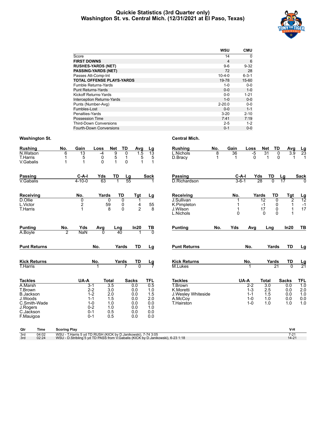#### **Quickie Statistics (3rd Quarter only) Washington St. vs. Central Mich. (12/31/2021 at El Paso, Texas)**



|                                   | <b>WSU</b>   | <b>CMU</b>  |
|-----------------------------------|--------------|-------------|
| Score                             | 14           | 0           |
| <b>FIRST DOWNS</b>                | 4            | 6           |
| <b>RUSHES-YARDS (NET)</b>         | $9-6$        | $9 - 32$    |
| <b>PASSING-YARDS (NET)</b>        | 72           | 28          |
| Passes Att-Comp-Int               | $10 - 4 - 0$ | $6 - 3 - 1$ |
| <b>TOTAL OFFENSE PLAYS-YARDS</b>  | 19-78        | 15-60       |
| <b>Fumble Returns-Yards</b>       | $1 - 0$      | $0-0$       |
| <b>Punt Returns-Yards</b>         | $0 - 0$      | $1 - 0$     |
| Kickoff Returns-Yards             | $0 - 0$      | $1 - 21$    |
| <b>Interception Returns-Yards</b> | $1 - 0$      | $0-0$       |
| Punts (Number-Avg)                | $2 - 20.0$   | $0-0$       |
| Fumbles-Lost                      | $0 - 0$      | $1 - 1$     |
| Penalties-Yards                   | $3 - 20$     | $2 - 10$    |
| Possession Time                   | 7:41         | 7:19        |
| <b>Third-Down Conversions</b>     | $2 - 5$      | $1 - 2$     |
| Fourth-Down Conversions           | $0 - 1$      | $0 - 0$     |

| <b>Rushing</b><br>N.Watson<br>T.Harris | No.<br>6       | Gain<br>13<br>5         | Loss<br>$-4$<br>0 | Net<br>9<br>5           | TD<br>$\Omega$<br>$\mathbf 1$ | Avg<br>1.5<br>5     | $\frac{Lg}{13}$<br>5                   | <b>Rushing</b><br>L.Nichols<br>D.Bracy | No.<br>8<br>1 | Gain<br>36<br>1      | Loss<br>$-5$<br>0 | Net<br>31<br>$\mathbf{1}$ | TD<br>0<br>0         | Avg<br>3.9      | $\frac{Lg}{23}$<br>$\mathbf{1}$ |
|----------------------------------------|----------------|-------------------------|-------------------|-------------------------|-------------------------------|---------------------|----------------------------------------|----------------------------------------|---------------|----------------------|-------------------|---------------------------|----------------------|-----------------|---------------------------------|
| V.Gabalis                              | 1              | $\mathbf 1$             | $\Omega$          | $\mathbf{1}$            | $\mathbf 0$                   |                     | 1                                      |                                        |               |                      |                   |                           |                      |                 |                                 |
| <b>Passing</b><br>V.Gabalis            |                | $C-A-I$<br>$4 - 10 - 0$ | Yds<br>63         | TD                      | $\frac{Lg}{55}$               |                     | <b>Sack</b>                            | <b>Passing</b><br>D.Richardson         |               | C-A-I<br>$3 - 6 - 1$ | Yds               | 28                        | TD<br>$\overline{0}$ | $\frac{Lg}{17}$ | <b>Sack</b>                     |
|                                        |                |                         |                   |                         |                               |                     |                                        |                                        |               |                      |                   |                           |                      |                 |                                 |
| Receiving                              |                | No.                     | Yards             | <b>TD</b>               |                               | Tgt                 | <u>Lg</u>                              | Receiving                              |               | No.                  |                   | Yards                     | TD                   | <b>Tgt</b>      | $\frac{Lg}{12}$                 |
| D.Ollie                                |                | $\overline{0}$          |                   | 0                       | 0                             |                     |                                        | J.Sullivan                             |               |                      |                   | 12                        | $\overline{0}$       | $\overline{2}$  |                                 |
| L.Victor<br><b>T.Harris</b>            |                | $\frac{2}{1}$           |                   | 59<br>8                 | 0<br>$\mathbf{0}$             | 4<br>$\overline{2}$ | $\begin{array}{c} 55 \\ 8 \end{array}$ | K.Pimpleton<br>J.Wilson                |               |                      |                   | $-1$<br>17                | 0<br>$\mathbf 0$     | 1               | $-1$<br>17                      |
|                                        |                |                         |                   |                         |                               |                     |                                        | L.Nichols                              |               | $\Omega$             |                   | $\Omega$                  | $\Omega$             |                 |                                 |
| <b>Punting</b>                         | No.            | Yds                     | Avg               | Lng                     |                               | In20                | TB                                     | <b>Punting</b>                         | No.           | Yds                  | Avg               |                           | Lng                  | In20            | TB                              |
| A.Boyle                                | $\overline{2}$ | NaN                     | $\Omega$          | 40                      |                               |                     | $\overline{0}$                         |                                        |               |                      |                   |                           |                      |                 |                                 |
| <b>Punt Returns</b>                    |                |                         | No.               | Yards                   |                               | TD                  | Lg                                     | <b>Punt Returns</b>                    |               |                      | No.               |                           | Yards                | <b>TD</b>       | Lg                              |
| <b>Kick Returns</b>                    |                |                         | No.               | Yards                   |                               | TD                  | $\frac{Lg}{7}$                         | <b>Kick Returns</b>                    |               |                      | No.               |                           | Yards                | TD              | $\frac{Lg}{21}$                 |
| <b>T.Harris</b>                        |                |                         |                   |                         |                               | $\overline{0}$      |                                        | M.Lukes                                |               |                      | 1                 |                           | $\overline{21}$      | $\overline{0}$  |                                 |
| <b>Tackles</b>                         |                | UA-A                    |                   | <b>Total</b>            | <b>Sacks</b>                  |                     | <b>TFL</b>                             | <b>Tackles</b>                         |               |                      | UA-A              | <b>Total</b>              |                      | <b>Sacks</b>    | <b>TFL</b>                      |
| A.Marsh<br>T.Brown                     |                | $3 - 1$<br>$2 - 2$      |                   | $\overline{3.5}$<br>3.0 |                               | 0.0<br>0.0          | 0.5<br>1.0                             | T.Brown                                |               |                      | $2-2$<br>$1 - 3$  | $\overline{3.0}$<br>2.5   |                      | 0.0<br>0.0      | 1.0                             |
| <b>B.Jackson</b>                       |                | $1 - 2$                 |                   | 2.0                     |                               | 0.0                 | 1.5                                    | K.Moretti<br>J.Wesley Whiteside        |               |                      | $1 - 1$           | 1.5                       |                      | 0.0             | $2.0$<br>1.0                    |
| J.Woods                                |                | $1 - 1$                 |                   | 1.5                     |                               | 0.0                 | 2.0                                    | A.McCoy                                |               |                      | $1 - 0$           | 1.0                       |                      | 0.0             | 0.0                             |
| C.Smith-Wade                           |                | $1 - 0$                 |                   | 1.0                     |                               | 0.0                 | 0.0                                    | T.Hairston                             |               |                      | $1 - 0$           | 1.0                       |                      | 1.0             | 1.0                             |
| J.Rogers                               |                | $0 - 2$                 |                   | 1.0                     |                               | 0.0                 | 1.0                                    |                                        |               |                      |                   |                           |                      |                 |                                 |
| C.Jackson<br>F.Mauigoa                 |                | $0 - 1$<br>$0 - 1$      |                   | 0.5<br>0.5              |                               | 0.0<br>0.0          | 0.0<br>0.0                             |                                        |               |                      |                   |                           |                      |                 |                                 |
|                                        |                |                         |                   |                         |                               |                     |                                        |                                        |               |                      |                   |                           |                      |                 |                                 |

| Qtr | Time  | <b>Scoring Play</b>                                                             |           |
|-----|-------|---------------------------------------------------------------------------------|-----------|
| 3rd | 04:02 | WSU - T. Harris 5 vd TD RUSH (KICK by D. Janikowski), 7-74 3:05                 |           |
| 3rd | 02:24 | NSU - D.Stribling 5 yd TD PASS from V.Gabalis (KICK by D.Janikowski), 6-23 1:18 | $14 - 21$ |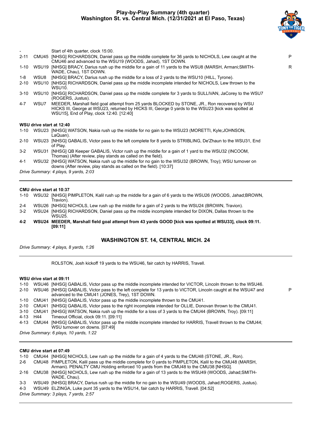# **Play-by-Play Summary (4th quarter) Washington St. vs. Central Mich. (12/31/2021 at El Paso, Texas)**



P

|      |       | Start of 4th quarter, clock 15:00.                                                                                                                                                                                                                |    |
|------|-------|---------------------------------------------------------------------------------------------------------------------------------------------------------------------------------------------------------------------------------------------------|----|
| 2-11 |       | CMU45 [NHSG] RICHARDSON, Daniel pass up the middle complete for 36 yards to NICHOLS, Lew caught at the<br>CMU46 and advanced to the WSU19 (WOODS, Jahad), 1ST DOWN.                                                                               | P  |
| 1-10 | WSU19 | [NHSG] BRACY, Darius rush up the middle for a gain of 11 yards to the WSU8 (MARSH, Armani; SMITH-<br>WADE, Chau), 1ST DOWN.                                                                                                                       | R. |
| 1-8  | WSU8  | [NHSG] BRACY, Darius rush up the middle for a loss of 2 yards to the WSU10 (HILL, Tyrone).                                                                                                                                                        |    |
| 2-10 | WSU10 | [NHSG] RICHARDSON, Daniel pass up the middle incomplete intended for NICHOLS, Lew thrown to the<br>WSU10.                                                                                                                                         |    |
| 3-10 | WSU10 | [NHSG] RICHARDSON, Daniel pass up the middle complete for 3 yards to SULLIVAN, JaCorey to the WSU7<br>(ROGERS, Justus).                                                                                                                           |    |
| 4-7  | WSU7  | MEEDER, Marshall field goal attempt from 25 yards BLOCKED by STONE, JR., Ron recovered by WSU<br>HICKS III, George at WSU23, returned by HICKS III, George 0 yards to the WSU23 [kick was spotted at<br>WSU15], End of Play, clock 12:40. [12:40] |    |
|      |       | WSU drive start at 12:40                                                                                                                                                                                                                          |    |
|      |       | 1-10 WSU23 [NHSG] WATSON, Nakia rush up the middle for no gain to the WSU23 (MORETTI, Kyle;JOHNSON,<br>LaQuan).                                                                                                                                   |    |
| 2-10 |       | WSU23 [NHSG] GABALIS, Victor pass to the left complete for 8 yards to STRIBLING, De'Zhaun to the WSU31, End<br>of Play.                                                                                                                           |    |
| 3-2  | WSU31 | [NHSG] QB Keeper GABALIS, Victor rush up the middle for a gain of 1 yard to the WSU32 (INCOOM,<br>Thomas) (After review, play stands as called on the field).                                                                                     |    |
| 4.1  |       | WSU32 INHSGLWATSON Nakia rush un the middle for no gain to the WSU32 (BROWN Troy): WSU turnover on                                                                                                                                                |    |

4-1 WSU32 [NHSG] WATSON, Nakia rush up the middle for no gain to the WSU32 (BROWN, Troy); WSU turnover on downs (After review, play stands as called on the field). [10:37]

*Drive Summary: 4 plays, 9 yards, 2:03*

#### **CMU drive start at 10:37**

| $1 - 10$ | WSU32 [NHSG] PIMPLETON, Kalil rush up the middle for a gain of 6 yards to the WSU26 (WOODS, Jahad; BROWN, |
|----------|-----------------------------------------------------------------------------------------------------------|
|          | Travion).                                                                                                 |
| $2 - 4$  | WSU26 [NHSG] NICHOLS, Lew rush up the middle for a gain of 2 yards to the WSU24 (BROWN, Travion).         |
| 3-2      | WSU24 [NHSG] RICHARDSON, Daniel pass up the middle incomplete intended for DIXON, Dallas thrown to the    |

WSU25. **4-2 WSU24 MEEDER, Marshall field goal attempt from 43 yards GOOD [kick was spotted at WSU33], clock 09:11. [09:11]**

# **WASHINGTON ST. 14, CENTRAL MICH. 24**

*Drive Summary: 4 plays, 8 yards, 1:26*

ROLSTON, Josh kickoff 19 yards to the WSU46, fair catch by HARRIS, Travell.

#### **WSU drive start at 09:11**

|          | 1-10 WSU46 [NHSG] GABALIS, Victor pass up the middle incomplete intended for VICTOR, Lincoln thrown to the WSU46.                                                     |
|----------|-----------------------------------------------------------------------------------------------------------------------------------------------------------------------|
|          | 2-10 WSU46 [NHSG] GABALIS, Victor pass to the left complete for 13 yards to VICTOR, Lincoln caught at the WSU47 and<br>advanced to the CMU41 (JONES, Trey), 1ST DOWN. |
|          | 1-10 CMU41 [NHSG] GABALIS, Victor pass up the middle incomplete thrown to the CMU41.                                                                                  |
|          | 2-10 CMU41 [NHSG] GABALIS, Victor pass to the right incomplete intended for OLLIE, Donovan thrown to the CMU41.                                                       |
|          | 3-10 CMU41 [NHSG] WATSON, Nakia rush up the middle for a loss of 3 yards to the CMU44 (BROWN, Troy). [09:11]                                                          |
| 4-13 H44 | Timeout Official, clock 09:11. [09:11]                                                                                                                                |
|          | 4-13 CMU44 [NHSG] GABALIS, Victor pass up the middle incomplete intended for HARRIS, Travell thrown to the CMU44;<br>WSU turnover on downs. [07:49]                   |

*Drive Summary: 6 plays, 10 yards, 1:22*

#### **CMU drive start at 07:49**

| $1 - 10$ |                                       | CMU44 [NHSG] NICHOLS, Lew rush up the middle for a gain of 4 yards to the CMU48 (STONE, JR., Ron).                                                                                            |  |  |  |  |  |  |  |
|----------|---------------------------------------|-----------------------------------------------------------------------------------------------------------------------------------------------------------------------------------------------|--|--|--|--|--|--|--|
| $2-6$    |                                       | CMU48 PIMPLETON, Kalil pass up the middle complete for 0 yards to PIMPLETON, Kalil to the CMU48 (MARSH,<br>Armani). PENALTY CMU Holding enforced 10 yards from the CMU48 to the CMU38 [NHSG]. |  |  |  |  |  |  |  |
|          |                                       | 2-16 CMU38 [NHSG] NICHOLS, Lew rush up the middle for a gain of 13 yards to the WSU49 (WOODS, Jahad;SMITH-<br>WADE, Chau).                                                                    |  |  |  |  |  |  |  |
| $3-3$    |                                       | WSU49 [NHSG] BRACY, Darius rush up the middle for no gain to the WSU49 (WOODS, Jahad; ROGERS, Justus).                                                                                        |  |  |  |  |  |  |  |
| 4-3      |                                       | WSU49 ELZINGA, Luke punt 35 yards to the WSU14, fair catch by HARRIS, Travell. [04:52]                                                                                                        |  |  |  |  |  |  |  |
|          | Drive Summary: 3 plays, 7 yards, 2:57 |                                                                                                                                                                                               |  |  |  |  |  |  |  |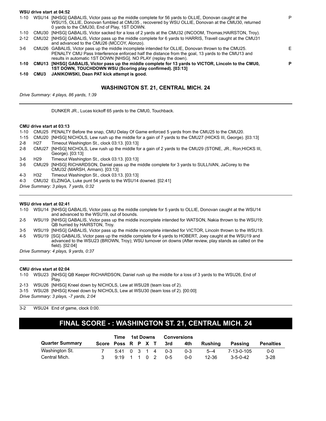|          |             | WSU drive start at 04:52                                                                                                                                                                                                                                                      |   |
|----------|-------------|-------------------------------------------------------------------------------------------------------------------------------------------------------------------------------------------------------------------------------------------------------------------------------|---|
|          |             | 1-10 WSU14 [NHSG] GABALIS, Victor pass up the middle complete for 56 yards to OLLIE, Donovan caught at the<br>WSU15, OLLIE, Donovan fumbled at CMU35, recovered by WSU OLLIE, Donovan at the CMU30, returned<br>0 yards to the CMU30, End of Play, 1ST DOWN.                  | P |
| 1-10     |             | CMU30 [NHSG] GABALIS, Victor sacked for a loss of 2 yards at the CMU32 (INCOOM, Thomas; HAIRSTON, Troy).                                                                                                                                                                      |   |
| $2 - 12$ |             | CMU32 [NHSG] GABALIS, Victor pass up the middle complete for 6 yards to HARRIS, Travell caught at the CMU31<br>and advanced to the CMU26 (MCCOY, Alonzo).                                                                                                                     |   |
| $3-6$    |             | CMU26 GABALIS, Victor pass up the middle incomplete intended for OLLIE, Donovan thrown to the CMU25.<br>PENALTY CMU Pass Interference enforced half the distance from the goal, 13 yards to the CMU13 and<br>results in automatic 1ST DOWN [NHSG]. NO PLAY (replay the down). | E |
|          |             | 1-10 CMU13 [NHSG] GABALIS, Victor pass up the middle complete for 13 yards to VICTOR, Lincoln to the CMU0,<br>1ST DOWN, TOUCHDOWN WSU (Scoring play confirmed). [03:13]                                                                                                       | P |
| $1 - 10$ | <b>CMU3</b> | JANIKOWSKI, Dean PAT kick attempt is good.                                                                                                                                                                                                                                    |   |
|          |             | <b>WASHINGTON ST. 21, CENTRAL MICH. 24</b>                                                                                                                                                                                                                                    |   |

*Drive Summary: 4 plays, 86 yards, 1:39*

DUNKER JR., Lucas kickoff 65 yards to the CMU0, Touchback.

#### **CMU drive start at 03:13**

| $1 - 10$ |                                       | CMU25 PENALTY Before the snap, CMU Delay Of Game enforced 5 yards from the CMU25 to the CMU20.                                  |  |  |  |  |  |  |  |
|----------|---------------------------------------|---------------------------------------------------------------------------------------------------------------------------------|--|--|--|--|--|--|--|
| $1 - 15$ |                                       | CMU20 [NHSG] NICHOLS, Lew rush up the middle for a gain of 7 yards to the CMU27 (HICKS III, George). [03:13]                    |  |  |  |  |  |  |  |
| $2 - 8$  | H <sub>27</sub>                       | Timeout Washington St., clock 03:13. [03:13]                                                                                    |  |  |  |  |  |  |  |
| $2 - 8$  | CMU27                                 | [NHSG] NICHOLS, Lew rush up the middle for a gain of 2 yards to the CMU29 (STONE, JR., Ron; HICKS III,<br>George). [03:13]      |  |  |  |  |  |  |  |
| $3-6$    | H <sub>29</sub>                       | Timeout Washington St., clock 03:13. [03:13]                                                                                    |  |  |  |  |  |  |  |
| $3-6$    | CMU29                                 | [NHSG] RICHARDSON, Daniel pass up the middle complete for 3 yards to SULLIVAN, JaCorey to the<br>CMU32 (MARSH, Armani). [03:13] |  |  |  |  |  |  |  |
| $4 - 3$  | H32                                   | Timeout Washington St., clock 03:13. [03:13]                                                                                    |  |  |  |  |  |  |  |
| 4-3      |                                       | CMU32 ELZINGA, Luke punt 54 yards to the WSU14 downed. [02:41]                                                                  |  |  |  |  |  |  |  |
|          | Drive Summary: 3 plays, 7 yards, 0:32 |                                                                                                                                 |  |  |  |  |  |  |  |

#### **WSU drive start at 02:41**

1-10 WSU14 [NHSG] GABALIS, Victor pass up the middle complete for 5 yards to OLLIE, Donovan caught at the WSU14 and advanced to the WSU19, out of bounds.

2-5 WSU19 [NHSG] GABALIS, Victor pass up the middle incomplete intended for WATSON, Nakia thrown to the WSU19; QB hurried by HAIRSTON, Troy.

3-5 WSU19 [NHSG] GABALIS, Victor pass up the middle incomplete intended for VICTOR, Lincoln thrown to the WSU19.

4-5 WSU19 [SG] GABALIS, Victor pass up the middle complete for 4 yards to HOBERT, Joey caught at the WSU19 and advanced to the WSU23 (BROWN, Troy); WSU turnover on downs (After review, play stands as called on the field). [02:04]

*Drive Summary: 4 plays, 9 yards, 0:37*

#### **CMU drive start at 02:04**

1-10 WSU23 [NHSG] QB Keeper RICHARDSON, Daniel rush up the middle for a loss of 3 yards to the WSU26, End of Play. 2-13 WSU26 [NHSG] Kneel down by NICHOLS, Lew at WSU28 (team loss of 2). 3-15 WSU28 [NHSG] Kneel down by NICHOLS, Lew at WSU30 (team loss of 2). [00:00] *Drive Summary: 3 plays, -7 yards, 2:04*

3-2 WSU24 End of game, clock 0:00.

# **FINAL SCORE - : WASHINGTON ST. 21, CENTRAL MICH. 24**

|                        |                    | Time        | 1st Downs |  |  | <b>Conversions</b>                               |         |         |                  |                  |
|------------------------|--------------------|-------------|-----------|--|--|--------------------------------------------------|---------|---------|------------------|------------------|
| <b>Quarter Summary</b> | Score Poss R P X T |             |           |  |  | 3rd                                              | 4th     | Rushina | Passing          | <b>Penalties</b> |
| Washington St.         |                    |             |           |  |  | $5:41 \quad 0 \quad 3 \quad 1 \quad 4 \quad 0-3$ | $0 - 3$ | $5 - 4$ | 7-13-0-105       | $0 - 0$          |
| Central Mich.          |                    | 919 1 1 0 2 |           |  |  | $0 - 5$                                          | $0 - 0$ | 12-36   | $3 - 5 - 0 - 42$ | $3-28$           |